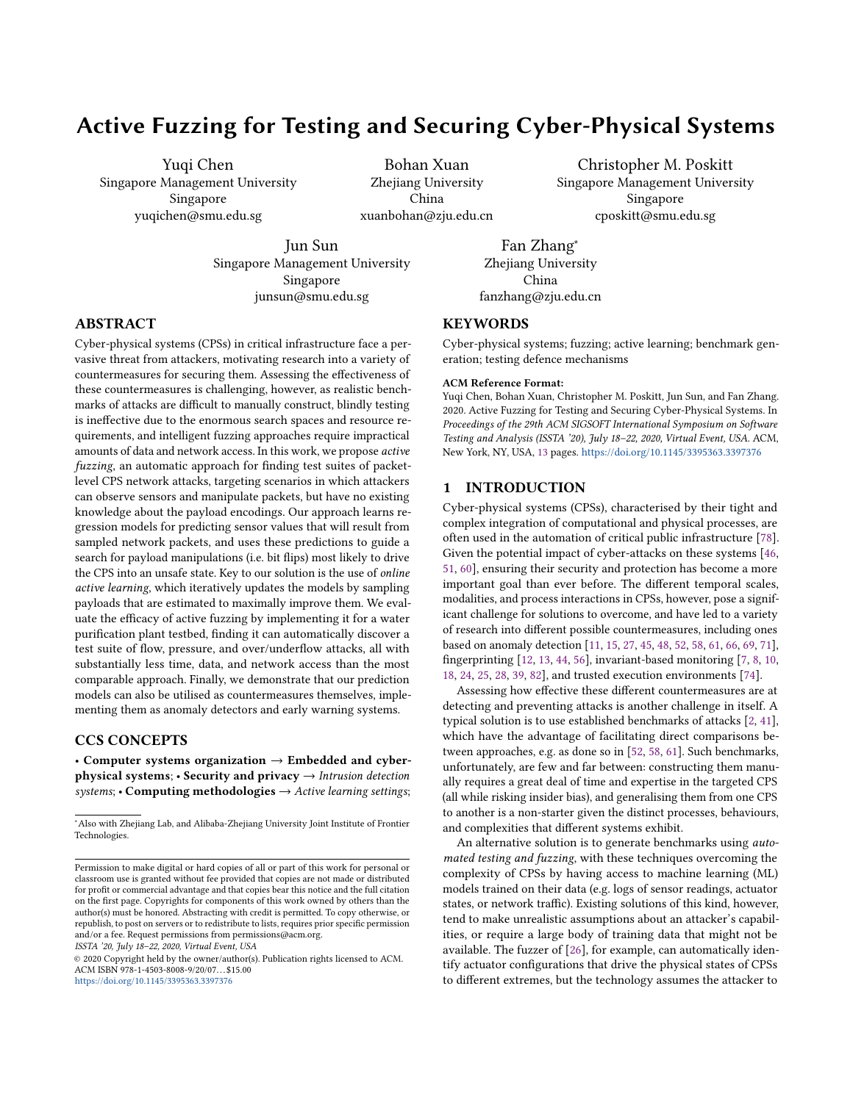# Active Fuzzing for Testing and Securing Cyber-Physical Systems

Yuqi Chen Singapore Management University Singapore yuqichen@smu.edu.sg

Bohan Xuan Zhejiang University China xuanbohan@zju.edu.cn

Christopher M. Poskitt Singapore Management University Singapore cposkitt@smu.edu.sg

Jun Sun Singapore Management University Singapore junsun@smu.edu.sg

Fan Zhang<sup>∗</sup> Zhejiang University China fanzhang@zju.edu.cn

## **KEYWORDS**

Cyber-physical systems; fuzzing; active learning; benchmark generation; testing defence mechanisms

#### ACM Reference Format:

Yuqi Chen, Bohan Xuan, Christopher M. Poskitt, Jun Sun, and Fan Zhang. 2020. Active Fuzzing for Testing and Securing Cyber-Physical Systems. In Proceedings of the 29th ACM SIGSOFT International Symposium on Software Testing and Analysis (ISSTA '20), July 18–22, 2020, Virtual Event, USA. ACM, New York, NY, USA, [13](#page-12-0) pages. <https://doi.org/10.1145/3395363.3397376>

## 1 INTRODUCTION

Cyber-physical systems (CPSs), characterised by their tight and complex integration of computational and physical processes, are often used in the automation of critical public infrastructure [\[78\]](#page-12-1). Given the potential impact of cyber-attacks on these systems [\[46,](#page-12-2) [51,](#page-12-3) [60\]](#page-12-4), ensuring their security and protection has become a more important goal than ever before. The different temporal scales, modalities, and process interactions in CPSs, however, pose a significant challenge for solutions to overcome, and have led to a variety of research into different possible countermeasures, including ones based on anomaly detection [\[11,](#page-11-0) [15,](#page-11-1) [27,](#page-11-2) [45,](#page-12-5) [48,](#page-12-6) [52,](#page-12-7) [58,](#page-12-8) [61,](#page-12-9) [66,](#page-12-10) [69,](#page-12-11) [71\]](#page-12-12), fingerprinting [\[12,](#page-11-3) [13,](#page-11-4) [44,](#page-12-13) [56\]](#page-12-14), invariant-based monitoring [\[7,](#page-11-5) [8,](#page-11-6) [10,](#page-11-7) [18,](#page-11-8) [24,](#page-11-9) [25,](#page-11-10) [28,](#page-11-11) [39,](#page-11-12) [82\]](#page-12-15), and trusted execution environments [\[74\]](#page-12-16).

Assessing how effective these different countermeasures are at detecting and preventing attacks is another challenge in itself. A typical solution is to use established benchmarks of attacks [\[2,](#page-11-13) [41\]](#page-11-14), which have the advantage of facilitating direct comparisons between approaches, e.g. as done so in [\[52,](#page-12-7) [58,](#page-12-8) [61\]](#page-12-9). Such benchmarks, unfortunately, are few and far between: constructing them manually requires a great deal of time and expertise in the targeted CPS (all while risking insider bias), and generalising them from one CPS to another is a non-starter given the distinct processes, behaviours, and complexities that different systems exhibit.

An alternative solution is to generate benchmarks using automated testing and fuzzing, with these techniques overcoming the complexity of CPSs by having access to machine learning (ML) models trained on their data (e.g. logs of sensor readings, actuator states, or network traffic). Existing solutions of this kind, however, tend to make unrealistic assumptions about an attacker's capabilities, or require a large body of training data that might not be available. The fuzzer of [\[26\]](#page-11-15), for example, can automatically identify actuator configurations that drive the physical states of CPSs to different extremes, but the technology assumes the attacker to

## ABSTRACT

Cyber-physical systems (CPSs) in critical infrastructure face a pervasive threat from attackers, motivating research into a variety of countermeasures for securing them. Assessing the effectiveness of these countermeasures is challenging, however, as realistic benchmarks of attacks are difficult to manually construct, blindly testing is ineffective due to the enormous search spaces and resource requirements, and intelligent fuzzing approaches require impractical amounts of data and network access. In this work, we propose active fuzzing, an automatic approach for finding test suites of packetlevel CPS network attacks, targeting scenarios in which attackers can observe sensors and manipulate packets, but have no existing knowledge about the payload encodings. Our approach learns regression models for predicting sensor values that will result from sampled network packets, and uses these predictions to guide a search for payload manipulations (i.e. bit flips) most likely to drive the CPS into an unsafe state. Key to our solution is the use of online active learning, which iteratively updates the models by sampling payloads that are estimated to maximally improve them. We evaluate the efficacy of active fuzzing by implementing it for a water purification plant testbed, finding it can automatically discover a test suite of flow, pressure, and over/underflow attacks, all with substantially less time, data, and network access than the most comparable approach. Finally, we demonstrate that our prediction models can also be utilised as countermeasures themselves, implementing them as anomaly detectors and early warning systems.

# CCS CONCEPTS

• Computer systems organization  $\rightarrow$  Embedded and cyberphysical systems;  $\cdot$  Security and privacy  $\rightarrow$  Intrusion detection systems; • Computing methodologies  $\rightarrow$  Active learning settings;

ISSTA '20, July 18–22, 2020, Virtual Event, USA

© 2020 Copyright held by the owner/author(s). Publication rights licensed to ACM. ACM ISBN 978-1-4503-8008-9/20/07. . . \$15.00 <https://doi.org/10.1145/3395363.3397376>

<sup>∗</sup>Also with Zhejiang Lab, and Alibaba-Zhejiang University Joint Institute of Frontier Technologies.

Permission to make digital or hard copies of all or part of this work for personal or classroom use is granted without fee provided that copies are not made or distributed for profit or commercial advantage and that copies bear this notice and the full citation on the first page. Copyrights for components of this work owned by others than the author(s) must be honored. Abstracting with credit is permitted. To copy otherwise, or republish, to post on servers or to redistribute to lists, requires prior specific permission and/or a fee. Request permissions from permissions@acm.org.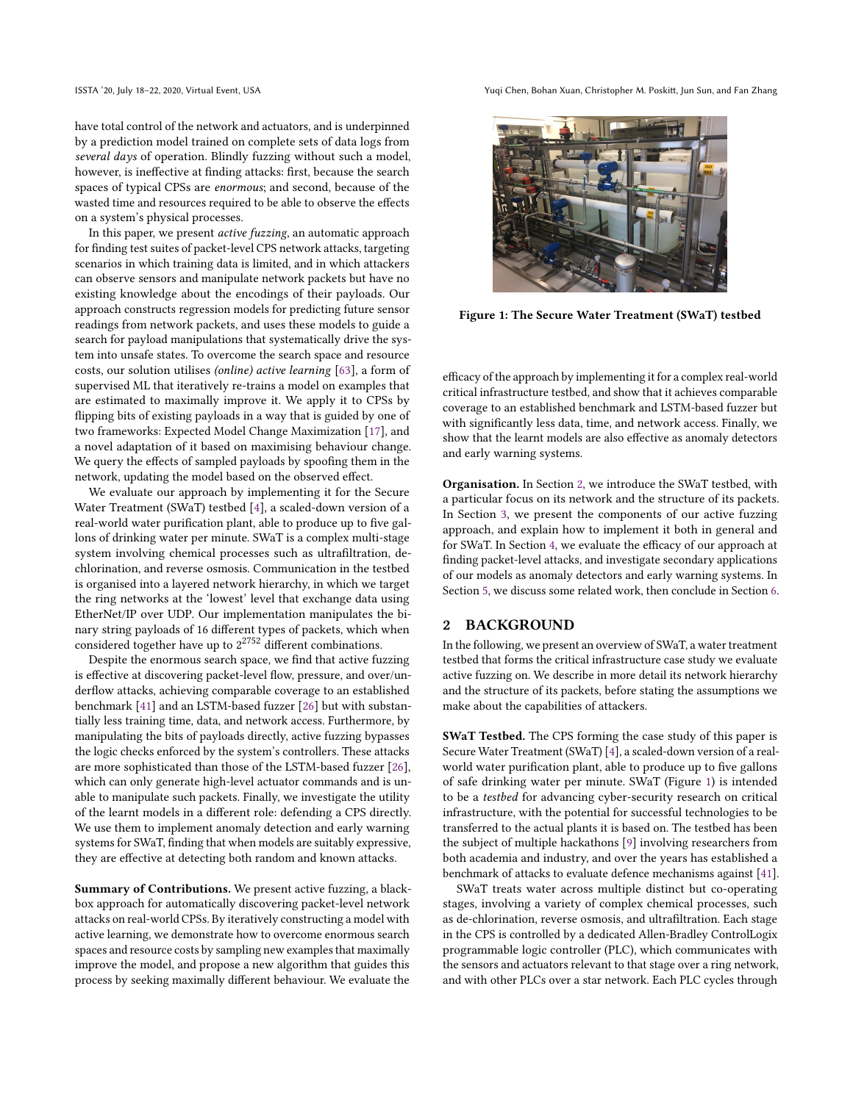have total control of the network and actuators, and is underpinned by a prediction model trained on complete sets of data logs from several days of operation. Blindly fuzzing without such a model, however, is ineffective at finding attacks: first, because the search spaces of typical CPSs are enormous; and second, because of the wasted time and resources required to be able to observe the effects on a system's physical processes.

In this paper, we present active fuzzing, an automatic approach for finding test suites of packet-level CPS network attacks, targeting scenarios in which training data is limited, and in which attackers can observe sensors and manipulate network packets but have no existing knowledge about the encodings of their payloads. Our approach constructs regression models for predicting future sensor readings from network packets, and uses these models to guide a search for payload manipulations that systematically drive the system into unsafe states. To overcome the search space and resource costs, our solution utilises (online) active learning [\[63\]](#page-12-17), a form of supervised ML that iteratively re-trains a model on examples that are estimated to maximally improve it. We apply it to CPSs by flipping bits of existing payloads in a way that is guided by one of two frameworks: Expected Model Change Maximization [\[17\]](#page-11-16), and a novel adaptation of it based on maximising behaviour change. We query the effects of sampled payloads by spoofing them in the network, updating the model based on the observed effect.

We evaluate our approach by implementing it for the Secure Water Treatment (SWaT) testbed [\[4\]](#page-11-17), a scaled-down version of a real-world water purification plant, able to produce up to five gallons of drinking water per minute. SWaT is a complex multi-stage system involving chemical processes such as ultrafiltration, dechlorination, and reverse osmosis. Communication in the testbed is organised into a layered network hierarchy, in which we target the ring networks at the 'lowest' level that exchange data using EtherNet/IP over UDP. Our implementation manipulates the binary string payloads of 16 different types of packets, which when considered together have up to  $2^{2752}$  different combinations.

Despite the enormous search space, we find that active fuzzing is effective at discovering packet-level flow, pressure, and over/underflow attacks, achieving comparable coverage to an established benchmark [\[41\]](#page-11-14) and an LSTM-based fuzzer [\[26\]](#page-11-15) but with substantially less training time, data, and network access. Furthermore, by manipulating the bits of payloads directly, active fuzzing bypasses the logic checks enforced by the system's controllers. These attacks are more sophisticated than those of the LSTM-based fuzzer [\[26\]](#page-11-15), which can only generate high-level actuator commands and is unable to manipulate such packets. Finally, we investigate the utility of the learnt models in a different role: defending a CPS directly. We use them to implement anomaly detection and early warning systems for SWaT, finding that when models are suitably expressive, they are effective at detecting both random and known attacks.

Summary of Contributions. We present active fuzzing, a blackbox approach for automatically discovering packet-level network attacks on real-world CPSs. By iteratively constructing a model with active learning, we demonstrate how to overcome enormous search spaces and resource costs by sampling new examples that maximally improve the model, and propose a new algorithm that guides this process by seeking maximally different behaviour. We evaluate the

ISSTA '20, July 18–22, 2020, Virtual Event, USA Yuqi Chen, Bohan Xuan, Christopher M. Poskitt, Jun Sun, and Fan Zhang

<span id="page-1-1"></span>

Figure 1: The Secure Water Treatment (SWaT) testbed

efficacy of the approach by implementing it for a complex real-world critical infrastructure testbed, and show that it achieves comparable coverage to an established benchmark and LSTM-based fuzzer but with significantly less data, time, and network access. Finally, we show that the learnt models are also effective as anomaly detectors and early warning systems.

Organisation. In Section [2,](#page-1-0) we introduce the SWaT testbed, with a particular focus on its network and the structure of its packets. In Section [3,](#page-2-0) we present the components of our active fuzzing approach, and explain how to implement it both in general and for SWaT. In Section [4,](#page-5-0) we evaluate the efficacy of our approach at finding packet-level attacks, and investigate secondary applications of our models as anomaly detectors and early warning systems. In Section [5,](#page-9-0) we discuss some related work, then conclude in Section [6.](#page-10-0)

#### <span id="page-1-0"></span>2 BACKGROUND

In the following, we present an overview of SWaT, a water treatment testbed that forms the critical infrastructure case study we evaluate active fuzzing on. We describe in more detail its network hierarchy and the structure of its packets, before stating the assumptions we make about the capabilities of attackers.

SWaT Testbed. The CPS forming the case study of this paper is Secure Water Treatment (SWaT) [\[4\]](#page-11-17), a scaled-down version of a realworld water purification plant, able to produce up to five gallons of safe drinking water per minute. SWaT (Figure [1\)](#page-1-1) is intended to be a testbed for advancing cyber-security research on critical infrastructure, with the potential for successful technologies to be transferred to the actual plants it is based on. The testbed has been the subject of multiple hackathons [\[9\]](#page-11-18) involving researchers from both academia and industry, and over the years has established a benchmark of attacks to evaluate defence mechanisms against [\[41\]](#page-11-14).

SWaT treats water across multiple distinct but co-operating stages, involving a variety of complex chemical processes, such as de-chlorination, reverse osmosis, and ultrafiltration. Each stage in the CPS is controlled by a dedicated Allen-Bradley ControlLogix programmable logic controller (PLC), which communicates with the sensors and actuators relevant to that stage over a ring network, and with other PLCs over a star network. Each PLC cycles through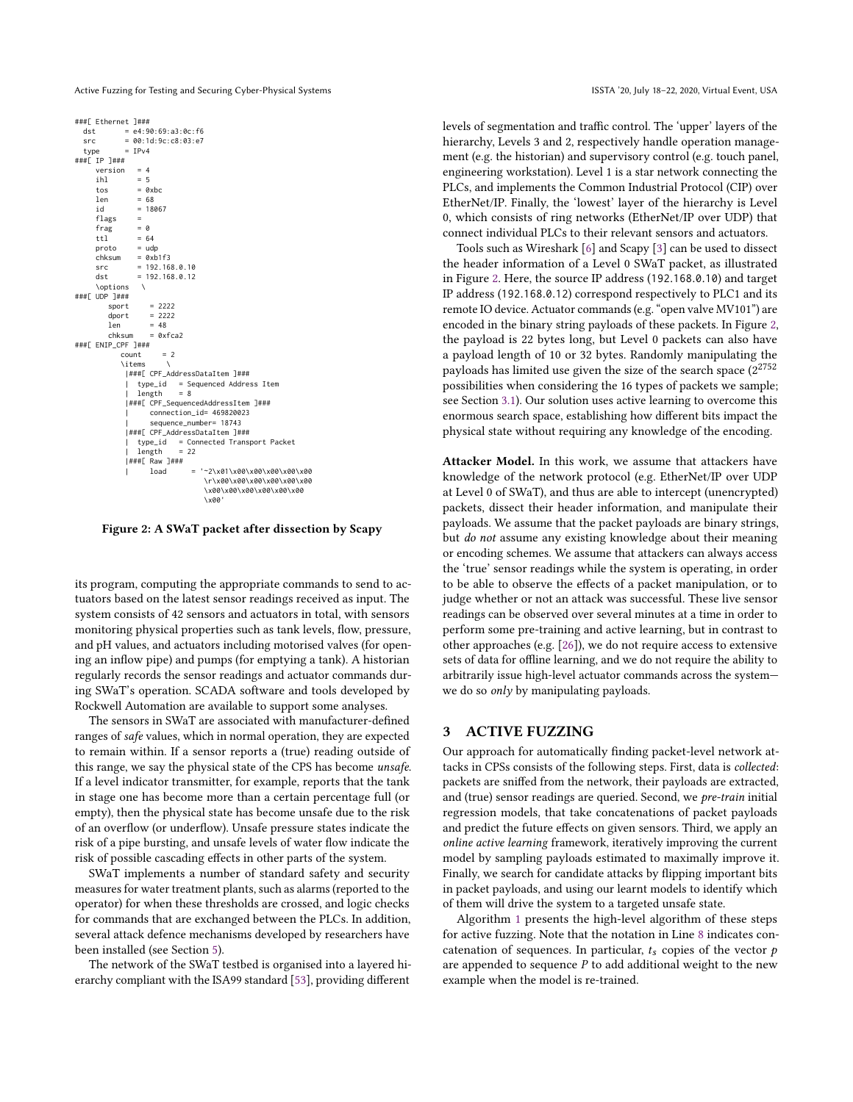Active Fuzzing for Testing and Securing Cyber-Physical Systems ISSTA '20, July 18-22, 2020, Virtual Event, USA

```
###[ Ethernet ]###
              = e4:90:69:a3:0c:66src = 00:1d:9c:cs:03:e7<br>type = IPv4
              = TPv4
###[ IP ]###
     version = 4<br>ihl = 5ihl = 5 = 6= 0xbc
     len = 68<br>id = 18018067
      flags =frag = 0<br>ttl = 64ttlproto = udp<br>chksum = 0xb
      chksum = 0xb1f3<br>
src = 192.168src = 192.168.0.10
     dst = 192.168.0.12\options \
###[ UDP ]###
         \begin{array}{rcl} \text{sport} & = & 2222 \\ \text{dport} & = & 2222 \end{array}dport = 2222<br>len = 48= 48chksum = 0xfca2
###[ ENIP_CPF ]###
             count = 2\items \
               |###[ CPF_AddressDataItem ]###
               | type_id = Sequenced Address Item
| length = 8
               |###[ CPF_SequencedAddressItem ]###
                     | connection_id= 469820023
                      | sequence_number= 18743
               |###[ CPF_AddressDataItem ]###
               | type_id = Connected Transport Packet
| length = 22
               |###[ Raw ]###
                                  | load = '~2\x01\x00\x00\x00\x00\x00
                                      \r\x00\x00\x00\x00\x00\x00
                                      \x00\x00\x00\x00\x00
                                      \x00'
```
Figure 2: A SWaT packet after dissection by Scapy

its program, computing the appropriate commands to send to actuators based on the latest sensor readings received as input. The system consists of 42 sensors and actuators in total, with sensors monitoring physical properties such as tank levels, flow, pressure, and pH values, and actuators including motorised valves (for opening an inflow pipe) and pumps (for emptying a tank). A historian regularly records the sensor readings and actuator commands during SWaT's operation. SCADA software and tools developed by Rockwell Automation are available to support some analyses.

The sensors in SWaT are associated with manufacturer-defined ranges of safe values, which in normal operation, they are expected to remain within. If a sensor reports a (true) reading outside of this range, we say the physical state of the CPS has become unsafe. If a level indicator transmitter, for example, reports that the tank in stage one has become more than a certain percentage full (or empty), then the physical state has become unsafe due to the risk of an overflow (or underflow). Unsafe pressure states indicate the risk of a pipe bursting, and unsafe levels of water flow indicate the risk of possible cascading effects in other parts of the system.

SWaT implements a number of standard safety and security measures for water treatment plants, such as alarms (reported to the operator) for when these thresholds are crossed, and logic checks for commands that are exchanged between the PLCs. In addition, several attack defence mechanisms developed by researchers have been installed (see Section [5\)](#page-9-0).

The network of the SWaT testbed is organised into a layered hierarchy compliant with the ISA99 standard [\[53\]](#page-12-18), providing different

levels of segmentation and traffic control. The 'upper' layers of the hierarchy, Levels 3 and 2, respectively handle operation management (e.g. the historian) and supervisory control (e.g. touch panel, engineering workstation). Level 1 is a star network connecting the PLCs, and implements the Common Industrial Protocol (CIP) over EtherNet/IP. Finally, the 'lowest' layer of the hierarchy is Level 0, which consists of ring networks (EtherNet/IP over UDP) that connect individual PLCs to their relevant sensors and actuators.

Tools such as Wireshark [\[6\]](#page-11-19) and Scapy [\[3\]](#page-11-20) can be used to dissect the header information of a Level 0 SWaT packet, as illustrated in Figure [2.](#page-2-1) Here, the source IP address (192.168.0.10) and target IP address (192.168.0.12) correspond respectively to PLC1 and its remote IO device. Actuator commands (e.g. "open valve MV101") are encoded in the binary string payloads of these packets. In Figure [2,](#page-2-1) the payload is 22 bytes long, but Level 0 packets can also have a payload length of 10 or 32 bytes. Randomly manipulating the payloads has limited use given the size of the search space  $(2^{2752})$ possibilities when considering the 16 types of packets we sample; see Section [3.1\)](#page-3-0). Our solution uses active learning to overcome this enormous search space, establishing how different bits impact the physical state without requiring any knowledge of the encoding.

Attacker Model. In this work, we assume that attackers have knowledge of the network protocol (e.g. EtherNet/IP over UDP at Level 0 of SWaT), and thus are able to intercept (unencrypted) packets, dissect their header information, and manipulate their payloads. We assume that the packet payloads are binary strings, but do not assume any existing knowledge about their meaning or encoding schemes. We assume that attackers can always access the 'true' sensor readings while the system is operating, in order to be able to observe the effects of a packet manipulation, or to judge whether or not an attack was successful. These live sensor readings can be observed over several minutes at a time in order to perform some pre-training and active learning, but in contrast to other approaches (e.g. [\[26\]](#page-11-15)), we do not require access to extensive sets of data for offline learning, and we do not require the ability to arbitrarily issue high-level actuator commands across the system we do so only by manipulating payloads.

#### <span id="page-2-0"></span>3 ACTIVE FUZZING

Our approach for automatically finding packet-level network attacks in CPSs consists of the following steps. First, data is collected: packets are sniffed from the network, their payloads are extracted, and (true) sensor readings are queried. Second, we pre-train initial regression models, that take concatenations of packet payloads and predict the future effects on given sensors. Third, we apply an online active learning framework, iteratively improving the current model by sampling payloads estimated to maximally improve it. Finally, we search for candidate attacks by flipping important bits in packet payloads, and using our learnt models to identify which of them will drive the system to a targeted unsafe state.

Algorithm [1](#page-3-1) presents the high-level algorithm of these steps for active fuzzing. Note that the notation in Line [8](#page-3-2) indicates concatenation of sequences. In particular,  $t_s$  copies of the vector  $p$ are appended to sequence  $P$  to add additional weight to the new example when the model is re-trained.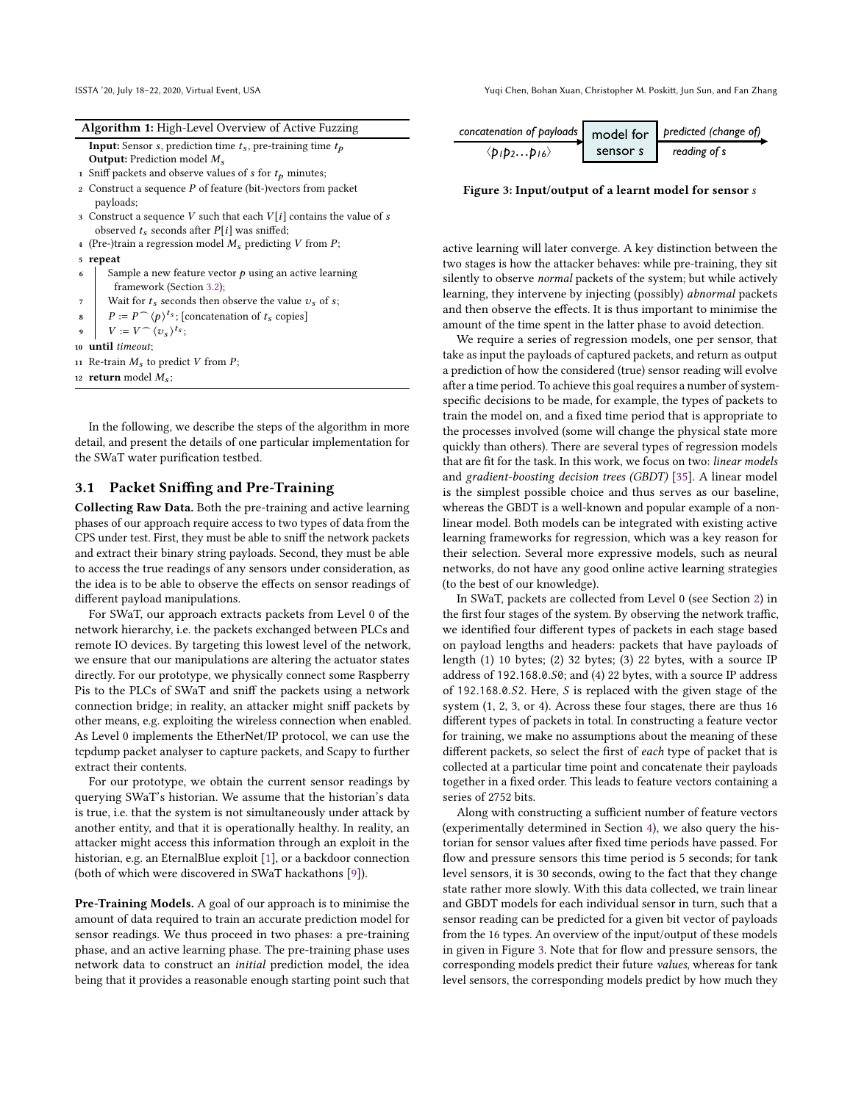ISSTA '20, July 18–22, 2020, Virtual Event, USA Yuqi Chen, Bohan Xuan, Christopher M. Poskitt, Jun Sun, and Fan Zhang

<span id="page-3-1"></span>

|                | <b>Algorithm 1:</b> High-Level Overview of Active Fuzzing                       |
|----------------|---------------------------------------------------------------------------------|
|                | <b>Input:</b> Sensor <i>s</i> , prediction time $t_s$ , pre-training time $t_p$ |
|                | <b>Output:</b> Prediction model $M_s$                                           |
|                | 1 Sniff packets and observe values of $s$ for $t_p$ minutes;                    |
| $\overline{2}$ | Construct a sequence $P$ of feature (bit-)vectors from packet                   |
|                | payloads;                                                                       |
|                | 3 Construct a sequence V such that each $V[i]$ contains the value of s          |
|                | observed $t_s$ seconds after $P[i]$ was sniffed;                                |
|                | 4 (Pre-)train a regression model $M_s$ predicting V from P;                     |
|                | 5 repeat                                                                        |
| 6              | Sample a new feature vector $p$ using an active learning                        |
|                | framework (Section 3.2);                                                        |
| 7              | Wait for $t_s$ seconds then observe the value $v_s$ of s;                       |
| 8              | $P := P \cap \langle p \rangle^{t_s}$ ; [concatenation of $t_s$ copies]         |
| 9              | $\mid V := V \cap \langle v_s \rangle^{t_s};$                                   |
|                | 10 until timeout;                                                               |
|                | 11 Re-train $M_s$ to predict V from P;                                          |
|                | 12 <b>return</b> model $M_s$ ;                                                  |

<span id="page-3-2"></span>In the following, we describe the steps of the algorithm in more detail, and present the details of one particular implementation for the SWaT water purification testbed.

## <span id="page-3-0"></span>3.1 Packet Sniffing and Pre-Training

Collecting Raw Data. Both the pre-training and active learning phases of our approach require access to two types of data from the CPS under test. First, they must be able to sniff the network packets and extract their binary string payloads. Second, they must be able to access the true readings of any sensors under consideration, as the idea is to be able to observe the effects on sensor readings of different payload manipulations.

For SWaT, our approach extracts packets from Level 0 of the network hierarchy, i.e. the packets exchanged between PLCs and remote IO devices. By targeting this lowest level of the network, we ensure that our manipulations are altering the actuator states directly. For our prototype, we physically connect some Raspberry Pis to the PLCs of SWaT and sniff the packets using a network connection bridge; in reality, an attacker might sniff packets by other means, e.g. exploiting the wireless connection when enabled. As Level 0 implements the EtherNet/IP protocol, we can use the tcpdump packet analyser to capture packets, and Scapy to further extract their contents.

For our prototype, we obtain the current sensor readings by querying SWaT's historian. We assume that the historian's data is true, i.e. that the system is not simultaneously under attack by another entity, and that it is operationally healthy. In reality, an attacker might access this information through an exploit in the historian, e.g. an EternalBlue exploit [\[1\]](#page-11-21), or a backdoor connection (both of which were discovered in SWaT hackathons [\[9\]](#page-11-18)).

Pre-Training Models. A goal of our approach is to minimise the amount of data required to train an accurate prediction model for sensor readings. We thus proceed in two phases: a pre-training phase, and an active learning phase. The pre-training phase uses network data to construct an initial prediction model, the idea being that it provides a reasonable enough starting point such that

<span id="page-3-3"></span>

Figure 3: Input/output of a learnt model for sensor s

and then observe the effects. It is thus important to minimise the active learning will later converge. A key distinction between the two stages is how the attacker behaves: while pre-training, they sit silently to observe normal packets of the system; but while actively learning, they intervene by injecting (possibly) abnormal packets amount of the time spent in the latter phase to avoid detection.

We require a series of regression models, one per sensor, that take as input the payloads of captured packets, and return as output a prediction of how the considered (true) sensor reading will evolve after a time period. To achieve this goal requires a number of systemspecific decisions to be made, for example, the types of packets to train the model on, and a fixed time period that is appropriate to the processes involved (some will change the physical state more quickly than others). There are several types of regression models that are fit for the task. In this work, we focus on two: linear models and gradient-boosting decision trees (GBDT) [\[35\]](#page-11-22). A linear model is the simplest possible choice and thus serves as our baseline, whereas the GBDT is a well-known and popular example of a nonlinear model. Both models can be integrated with existing active learning frameworks for regression, which was a key reason for their selection. Several more expressive models, such as neural networks, do not have any good online active learning strategies (to the best of our knowledge).

In SWaT, packets are collected from Level 0 (see Section [2\)](#page-1-0) in the first four stages of the system. By observing the network traffic, we identified four different types of packets in each stage based on payload lengths and headers: packets that have payloads of length (1) 10 bytes; (2) 32 bytes; (3) 22 bytes, with a source IP address of <sup>192</sup>.168.0.S0; and (4) 22 bytes, with a source IP address of <sup>192</sup>.168.0.S2. Here, S is replaced with the given stage of the system (1, 2, 3, or 4). Across these four stages, there are thus 16 different types of packets in total. In constructing a feature vector for training, we make no assumptions about the meaning of these different packets, so select the first of each type of packet that is collected at a particular time point and concatenate their payloads together in a fixed order. This leads to feature vectors containing a series of 2752 bits.

Along with constructing a sufficient number of feature vectors (experimentally determined in Section [4\)](#page-5-0), we also query the historian for sensor values after fixed time periods have passed. For flow and pressure sensors this time period is 5 seconds; for tank level sensors, it is 30 seconds, owing to the fact that they change state rather more slowly. With this data collected, we train linear and GBDT models for each individual sensor in turn, such that a sensor reading can be predicted for a given bit vector of payloads from the 16 types. An overview of the input/output of these models in given in Figure [3.](#page-3-3) Note that for flow and pressure sensors, the corresponding models predict their future values, whereas for tank level sensors, the corresponding models predict by how much they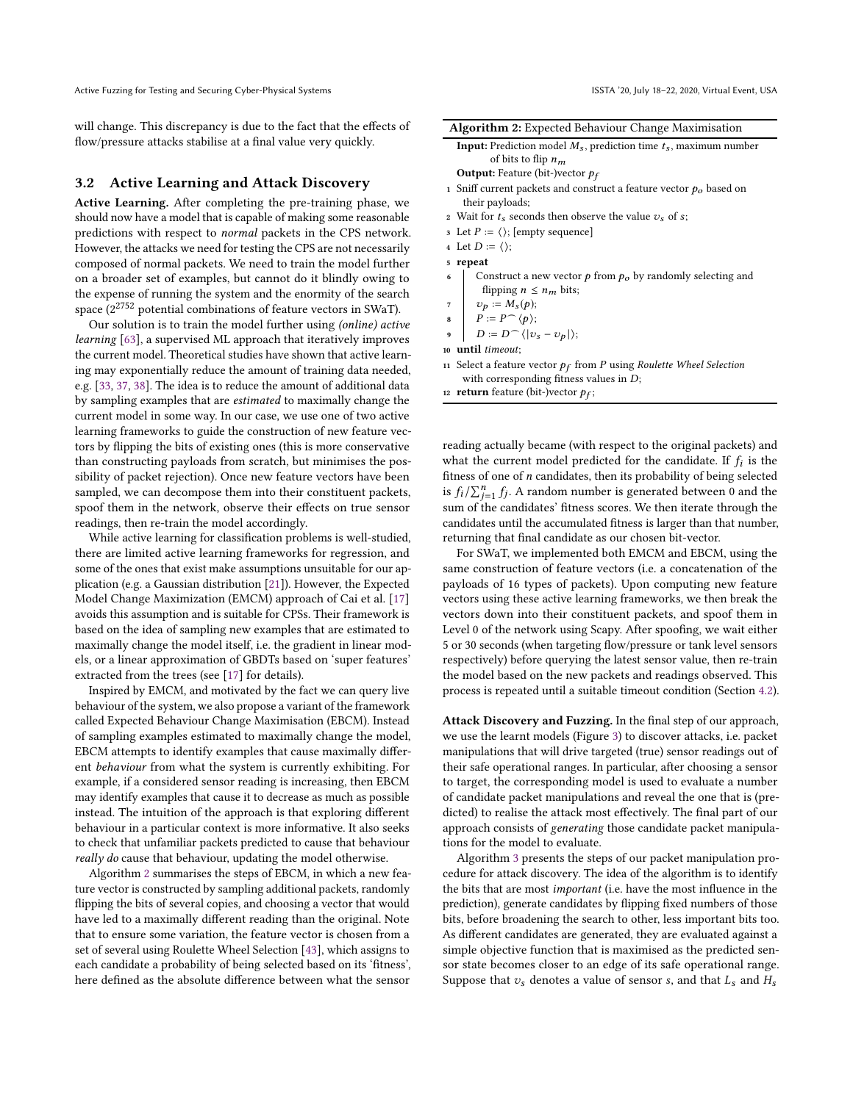will change. This discrepancy is due to the fact that the effects of flow/pressure attacks stabilise at a final value very quickly.

#### <span id="page-4-0"></span>3.2 Active Learning and Attack Discovery

Active Learning. After completing the pre-training phase, we should now have a model that is capable of making some reasonable predictions with respect to normal packets in the CPS network. However, the attacks we need for testing the CPS are not necessarily composed of normal packets. We need to train the model further on a broader set of examples, but cannot do it blindly owing to the expense of running the system and the enormity of the search space  $(2^{2752}$  potential combinations of feature vectors in SWaT).

Our solution is to train the model further using (online) active learning [\[63\]](#page-12-17), a supervised ML approach that iteratively improves the current model. Theoretical studies have shown that active learning may exponentially reduce the amount of training data needed, e.g. [\[33,](#page-11-23) [37,](#page-11-24) [38\]](#page-11-25). The idea is to reduce the amount of additional data by sampling examples that are estimated to maximally change the current model in some way. In our case, we use one of two active learning frameworks to guide the construction of new feature vectors by flipping the bits of existing ones (this is more conservative than constructing payloads from scratch, but minimises the possibility of packet rejection). Once new feature vectors have been sampled, we can decompose them into their constituent packets, spoof them in the network, observe their effects on true sensor readings, then re-train the model accordingly.

While active learning for classification problems is well-studied, there are limited active learning frameworks for regression, and some of the ones that exist make assumptions unsuitable for our application (e.g. a Gaussian distribution [\[21\]](#page-11-26)). However, the Expected Model Change Maximization (EMCM) approach of Cai et al. [\[17\]](#page-11-16) avoids this assumption and is suitable for CPSs. Their framework is based on the idea of sampling new examples that are estimated to maximally change the model itself, i.e. the gradient in linear models, or a linear approximation of GBDTs based on 'super features' extracted from the trees (see [\[17\]](#page-11-16) for details).

Inspired by EMCM, and motivated by the fact we can query live behaviour of the system, we also propose a variant of the framework called Expected Behaviour Change Maximisation (EBCM). Instead of sampling examples estimated to maximally change the model, EBCM attempts to identify examples that cause maximally different behaviour from what the system is currently exhibiting. For example, if a considered sensor reading is increasing, then EBCM may identify examples that cause it to decrease as much as possible instead. The intuition of the approach is that exploring different behaviour in a particular context is more informative. It also seeks to check that unfamiliar packets predicted to cause that behaviour really do cause that behaviour, updating the model otherwise.

Algorithm [2](#page-4-1) summarises the steps of EBCM, in which a new feature vector is constructed by sampling additional packets, randomly flipping the bits of several copies, and choosing a vector that would have led to a maximally different reading than the original. Note that to ensure some variation, the feature vector is chosen from a set of several using Roulette Wheel Selection [\[43\]](#page-11-27), which assigns to each candidate a probability of being selected based on its 'fitness', here defined as the absolute difference between what the sensor

|  |  |  |  |  | Algorithm 2: Expected Behaviour Change Maximisation |
|--|--|--|--|--|-----------------------------------------------------|
|--|--|--|--|--|-----------------------------------------------------|

<span id="page-4-1"></span>

| <b>Input:</b> Prediction model $M_s$ , prediction time $t_s$ , maximum number |  |
|-------------------------------------------------------------------------------|--|
| of bits to flip $n_m$                                                         |  |
| Output: Footure (bit )worter he                                               |  |

- **Output:** Feature (bit-)vector  $p_f$
- 1 Sniff current packets and construct a feature vector  $p_o$  based on their payloads;
- 2 Wait for  $t_s$  seconds then observe the value  $v_s$  of s;
- 3 Let  $P := \langle \rangle$ ; [empty sequence]
- 4 Let  $D := \langle \rangle$ ;
- <sup>5</sup> repeat
- 6 Construct a new vector p from  $p<sub>o</sub>$  by randomly selecting and flipping  $n \leq n_m$  bits;
- $v_p := M_s(p);$
- $P := P \cap \langle p \rangle;$
- $D := D \cap \langle |v_s v_p| \rangle;$
- <sup>10</sup> until timeout;
- 11 Select a feature vector  $p_f$  from P using Roulette Wheel Selection<br>with corresponding fitness values in  $\Gamma$ . with corresponding fitness values in  $D$ ;
- 12 **return** feature (bit-)vector  $p_f$ ;

reading actually became (with respect to the original packets) and what the current model predicted for the candidate. If  $f_i$  is the fitness of one of n candidates, then its probability of being selected fitness of one of  $n$  candidates, then its probability of being selected is  $f_i / \sum_{j=1}^n f_j$ . A random number is generated between 0 and the sum of the condidates' fitness secure. We then iterate through the  $\frac{f_i}{f_j}$  is  $j_i$ . A failum number is generated between 0 and the sum of the candidates' fitness scores. We then iterate through the candidates until the accumulated fitness is larger than that number, returning that final candidate as our chosen bit-vector.

For SWaT, we implemented both EMCM and EBCM, using the same construction of feature vectors (i.e. a concatenation of the payloads of 16 types of packets). Upon computing new feature vectors using these active learning frameworks, we then break the vectors down into their constituent packets, and spoof them in Level 0 of the network using Scapy. After spoofing, we wait either 5 or 30 seconds (when targeting flow/pressure or tank level sensors respectively) before querying the latest sensor value, then re-train the model based on the new packets and readings observed. This process is repeated until a suitable timeout condition (Section [4.2\)](#page-5-1).

Attack Discovery and Fuzzing. In the final step of our approach, we use the learnt models (Figure [3\)](#page-3-3) to discover attacks, i.e. packet manipulations that will drive targeted (true) sensor readings out of their safe operational ranges. In particular, after choosing a sensor to target, the corresponding model is used to evaluate a number of candidate packet manipulations and reveal the one that is (predicted) to realise the attack most effectively. The final part of our approach consists of generating those candidate packet manipulations for the model to evaluate.

Algorithm [3](#page-5-2) presents the steps of our packet manipulation procedure for attack discovery. The idea of the algorithm is to identify the bits that are most important (i.e. have the most influence in the prediction), generate candidates by flipping fixed numbers of those bits, before broadening the search to other, less important bits too. As different candidates are generated, they are evaluated against a simple objective function that is maximised as the predicted sensor state becomes closer to an edge of its safe operational range. Suppose that  $v_s$  denotes a value of sensor s, and that  $L_s$  and  $H_s$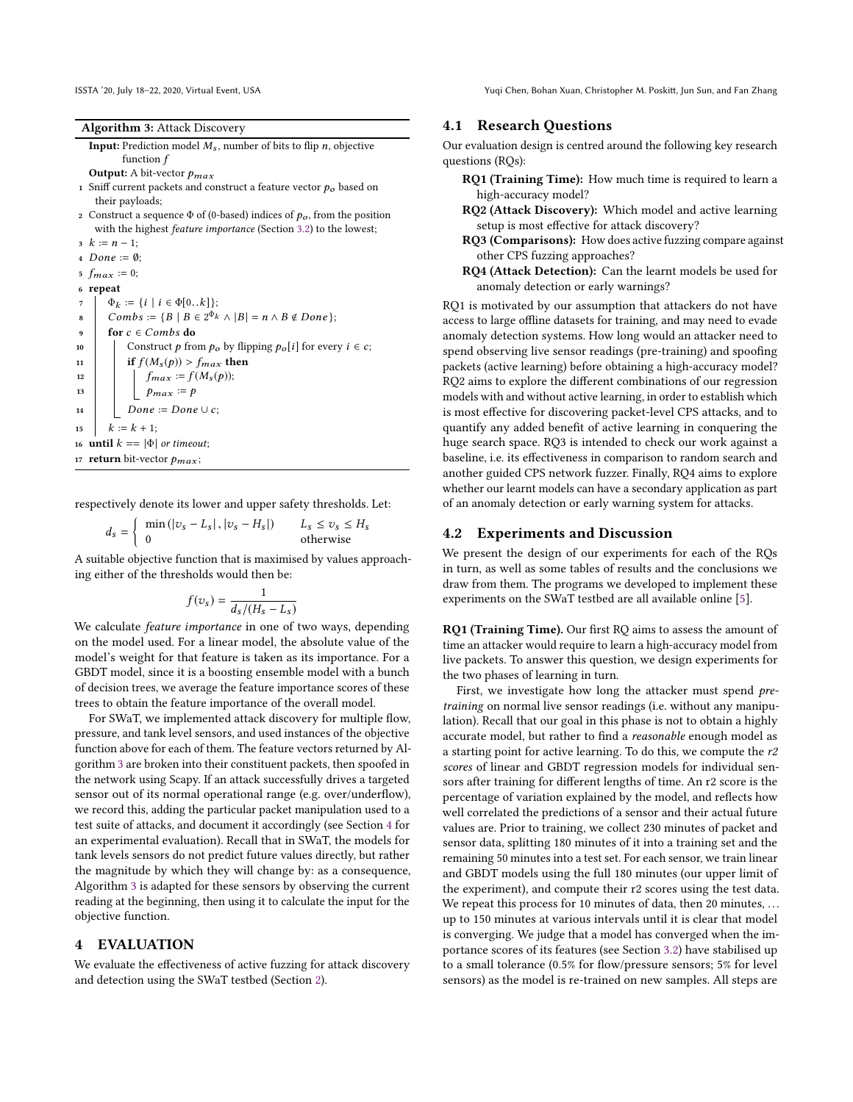ISSTA '20, July 18–22, 2020, Virtual Event, USA Yuqi Chen, Bohan Xuan, Christopher M. Poskitt, Jun Sun, and Fan Zhang

Algorithm 3: Attack Discovery

<span id="page-5-2"></span>**Input:** Prediction model  $M_s$ , number of bits to flip *n*, objective function *f* function f

**Output:** A bit-vector  $p_{max}$ <br>Spiff current pockets and co

- 1 Sniff current packets and construct a feature vector  $p<sub>o</sub>$  based on their payloads;
- 2 Construct a sequence  $\Phi$  of (0-based) indices of  $p_o$ , from the position with the highest feature importance (Section [3.2\)](#page-4-0) to the lowest;

 $3 \; k := n - 1;$ 4 Done :=  $\emptyset$ ; 5  $f_{max} := 0;$ <sup>6</sup> repeat  $\begin{array}{c} \pi \\ s \end{array}$   $\Phi_k := \{i \mid i \in \Phi[0..k]\};$ <br>  $\text{Combs} := \{B \mid B \in 2^{\Phi_k}\}$ 8 Combs :=  ${B \mid B \in 2^{\Phi_k} \land |B| = n \land B \notin Done}$ ; 9 for  $c \in Combs$  do<br>10 construct p from 10 Construct p from  $p_o$  by flipping  $p_o[i]$  for every  $i \in c$ ;<br>
11 if  $f(M_s(p)) > f_{max}$  then 11 if  $f(M_s(p)) > f_{max}$  then<br>
12 if  $f_{max} := f(M_s(p))$ : 12  $\left| \int_{\text{max}} f_{\text{max}} := f(M_s(p)); \right|$ <br>  $\frac{1}{2} \int_{\text{max}} f_{\text{max}} = p$ 13  $\bigcup_{14}$   $p_{max} := p$ <br>Done := Done 14  $\bigcup_{15} \text{Done} := \text{Done} \cup c;$ <br>15  $k := k + 1$ :  $k := k + 1;$ 16 until  $k == |\Phi|$  or timeout; 17 return bit-vector  $p_{max}$ ;

respectively denote its lower and upper safety thresholds. Let:

 $d_s = \begin{cases} \min(|v_s - L_s|, |v_s - H_s|) & L_s \le v_s \le H_s \\ 0 & \text{otherwise} \end{cases}$ 

A suitable objective function that is maximised by values approaching either of the thresholds would then be:

$$
f(v_s) = \frac{1}{d_s/(H_s - L_s)}
$$

 $\frac{dS}{ds}/(H_s - L_s)$ <br>We calculate *feature importance* in one of two ways, depending on the model used. For a linear model, the absolute value of the model's weight for that feature is taken as its importance. For a GBDT model, since it is a boosting ensemble model with a bunch of decision trees, we average the feature importance scores of these trees to obtain the feature importance of the overall model.

For SWaT, we implemented attack discovery for multiple flow, pressure, and tank level sensors, and used instances of the objective function above for each of them. The feature vectors returned by Algorithm [3](#page-5-2) are broken into their constituent packets, then spoofed in the network using Scapy. If an attack successfully drives a targeted sensor out of its normal operational range (e.g. over/underflow), we record this, adding the particular packet manipulation used to a test suite of attacks, and document it accordingly (see Section [4](#page-5-0) for an experimental evaluation). Recall that in SWaT, the models for tank levels sensors do not predict future values directly, but rather the magnitude by which they will change by: as a consequence, Algorithm [3](#page-5-2) is adapted for these sensors by observing the current reading at the beginning, then using it to calculate the input for the objective function.

## <span id="page-5-0"></span>4 EVALUATION

We evaluate the effectiveness of active fuzzing for attack discovery and detection using the SWaT testbed (Section [2\)](#page-1-0).

## 4.1 Research Questions

Our evaluation design is centred around the following key research questions (RQs):

- RQ1 (Training Time): How much time is required to learn a high-accuracy model?
- RQ2 (Attack Discovery): Which model and active learning setup is most effective for attack discovery?
- RQ3 (Comparisons): How does active fuzzing compare against other CPS fuzzing approaches?
- RQ4 (Attack Detection): Can the learnt models be used for anomaly detection or early warnings?

RQ1 is motivated by our assumption that attackers do not have access to large offline datasets for training, and may need to evade anomaly detection systems. How long would an attacker need to spend observing live sensor readings (pre-training) and spoofing packets (active learning) before obtaining a high-accuracy model? RQ2 aims to explore the different combinations of our regression models with and without active learning, in order to establish which is most effective for discovering packet-level CPS attacks, and to quantify any added benefit of active learning in conquering the huge search space. RQ3 is intended to check our work against a baseline, i.e. its effectiveness in comparison to random search and another guided CPS network fuzzer. Finally, RQ4 aims to explore whether our learnt models can have a secondary application as part of an anomaly detection or early warning system for attacks.

## <span id="page-5-1"></span>4.2 Experiments and Discussion

We present the design of our experiments for each of the RQs in turn, as well as some tables of results and the conclusions we draw from them. The programs we developed to implement these experiments on the SWaT testbed are all available online [\[5\]](#page-11-28).

RQ1 (Training Time). Our first RQ aims to assess the amount of time an attacker would require to learn a high-accuracy model from live packets. To answer this question, we design experiments for the two phases of learning in turn.

First, we investigate how long the attacker must spend pretraining on normal live sensor readings (i.e. without any manipulation). Recall that our goal in this phase is not to obtain a highly accurate model, but rather to find a reasonable enough model as a starting point for active learning. To do this, we compute the r2 scores of linear and GBDT regression models for individual sensors after training for different lengths of time. An r2 score is the percentage of variation explained by the model, and reflects how well correlated the predictions of a sensor and their actual future values are. Prior to training, we collect 230 minutes of packet and sensor data, splitting 180 minutes of it into a training set and the remaining 50 minutes into a test set. For each sensor, we train linear and GBDT models using the full 180 minutes (our upper limit of the experiment), and compute their r2 scores using the test data. We repeat this process for 10 minutes of data, then 20 minutes, ... up to 150 minutes at various intervals until it is clear that model

is converging. We judge that a model has converged when the importance scores of its features (see Section [3.2\)](#page-4-0) have stabilised up to a small tolerance (0.5% for flow/pressure sensors; 5% for level sensors) as the model is re-trained on new samples. All steps are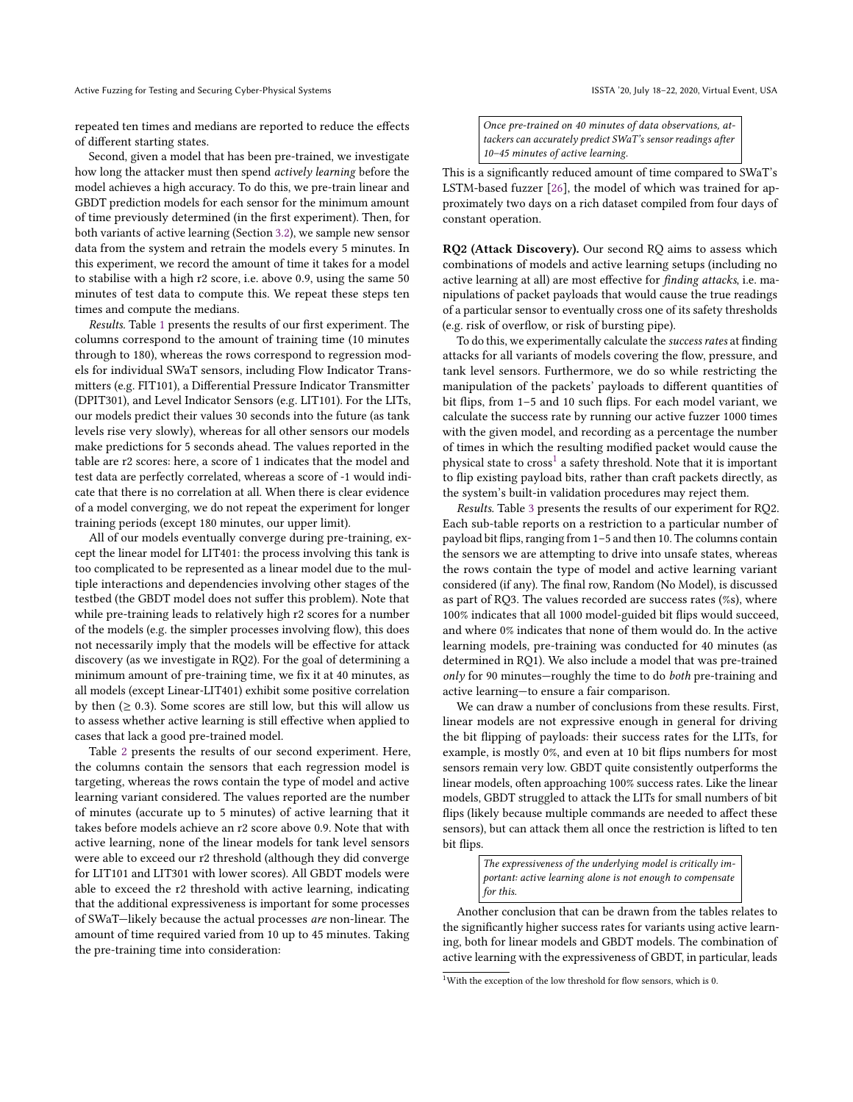repeated ten times and medians are reported to reduce the effects of different starting states.

Second, given a model that has been pre-trained, we investigate how long the attacker must then spend actively learning before the model achieves a high accuracy. To do this, we pre-train linear and GBDT prediction models for each sensor for the minimum amount of time previously determined (in the first experiment). Then, for both variants of active learning (Section [3.2\)](#page-4-0), we sample new sensor data from the system and retrain the models every 5 minutes. In this experiment, we record the amount of time it takes for a model to stabilise with a high r2 score, i.e. above 0.9, using the same 50 minutes of test data to compute this. We repeat these steps ten times and compute the medians.

Results. Table [1](#page-7-0) presents the results of our first experiment. The columns correspond to the amount of training time (10 minutes through to 180), whereas the rows correspond to regression models for individual SWaT sensors, including Flow Indicator Transmitters (e.g. FIT101), a Differential Pressure Indicator Transmitter (DPIT301), and Level Indicator Sensors (e.g. LIT101). For the LITs, our models predict their values 30 seconds into the future (as tank levels rise very slowly), whereas for all other sensors our models make predictions for 5 seconds ahead. The values reported in the table are r2 scores: here, a score of 1 indicates that the model and test data are perfectly correlated, whereas a score of -1 would indicate that there is no correlation at all. When there is clear evidence of a model converging, we do not repeat the experiment for longer training periods (except 180 minutes, our upper limit).

All of our models eventually converge during pre-training, except the linear model for LIT401: the process involving this tank is too complicated to be represented as a linear model due to the multiple interactions and dependencies involving other stages of the testbed (the GBDT model does not suffer this problem). Note that while pre-training leads to relatively high r2 scores for a number of the models (e.g. the simpler processes involving flow), this does not necessarily imply that the models will be effective for attack discovery (as we investigate in RQ2). For the goal of determining a minimum amount of pre-training time, we fix it at 40 minutes, as all models (except Linear-LIT401) exhibit some positive correlation by then  $(≥ 0.3)$ . Some scores are still low, but this will allow us to assess whether active learning is still effective when applied to cases that lack a good pre-trained model.

Table [2](#page-7-1) presents the results of our second experiment. Here, the columns contain the sensors that each regression model is targeting, whereas the rows contain the type of model and active learning variant considered. The values reported are the number of minutes (accurate up to 5 minutes) of active learning that it takes before models achieve an r2 score above 0.9. Note that with active learning, none of the linear models for tank level sensors were able to exceed our r2 threshold (although they did converge for LIT101 and LIT301 with lower scores). All GBDT models were able to exceed the r2 threshold with active learning, indicating that the additional expressiveness is important for some processes of SWaT—likely because the actual processes are non-linear. The amount of time required varied from 10 up to 45 minutes. Taking the pre-training time into consideration:

Once pre-trained on 40 minutes of data observations, attackers can accurately predict SWaT's sensor readings after 10–45 minutes of active learning.

This is a significantly reduced amount of time compared to SWaT's LSTM-based fuzzer [\[26\]](#page-11-15), the model of which was trained for approximately two days on a rich dataset compiled from four days of constant operation.

RQ2 (Attack Discovery). Our second RQ aims to assess which combinations of models and active learning setups (including no active learning at all) are most effective for finding attacks, i.e. manipulations of packet payloads that would cause the true readings of a particular sensor to eventually cross one of its safety thresholds (e.g. risk of overflow, or risk of bursting pipe).

To do this, we experimentally calculate the success rates at finding attacks for all variants of models covering the flow, pressure, and tank level sensors. Furthermore, we do so while restricting the manipulation of the packets' payloads to different quantities of bit flips, from 1–5 and 10 such flips. For each model variant, we calculate the success rate by running our active fuzzer 1000 times with the given model, and recording as a percentage the number of times in which the resulting modified packet would cause the physical state to  ${\rm cross}^1$  ${\rm cross}^1$  a safety threshold. Note that it is important to flip existing payload bits, rather than craft packets directly, as the system's built-in validation procedures may reject them.

Results. Table [3](#page-8-0) presents the results of our experiment for RQ2. Each sub-table reports on a restriction to a particular number of payload bit flips, ranging from 1–5 and then 10. The columns contain the sensors we are attempting to drive into unsafe states, whereas the rows contain the type of model and active learning variant considered (if any). The final row, Random (No Model), is discussed as part of RQ3. The values recorded are success rates (%s), where 100% indicates that all 1000 model-guided bit flips would succeed, and where 0% indicates that none of them would do. In the active learning models, pre-training was conducted for 40 minutes (as determined in RQ1). We also include a model that was pre-trained  $only$  for 90 minutes—roughly the time to do *both* pre-training and active learning—to ensure a fair comparison.

We can draw a number of conclusions from these results. First, linear models are not expressive enough in general for driving the bit flipping of payloads: their success rates for the LITs, for example, is mostly 0%, and even at 10 bit flips numbers for most sensors remain very low. GBDT quite consistently outperforms the linear models, often approaching 100% success rates. Like the linear models, GBDT struggled to attack the LITs for small numbers of bit flips (likely because multiple commands are needed to affect these sensors), but can attack them all once the restriction is lifted to ten bit flips.

> The expressiveness of the underlying model is critically important: active learning alone is not enough to compensate for this.

Another conclusion that can be drawn from the tables relates to the significantly higher success rates for variants using active learning, both for linear models and GBDT models. The combination of active learning with the expressiveness of GBDT, in particular, leads

<span id="page-6-0"></span> $^{1}$  With the exception of the low threshold for flow sensors, which is  $0$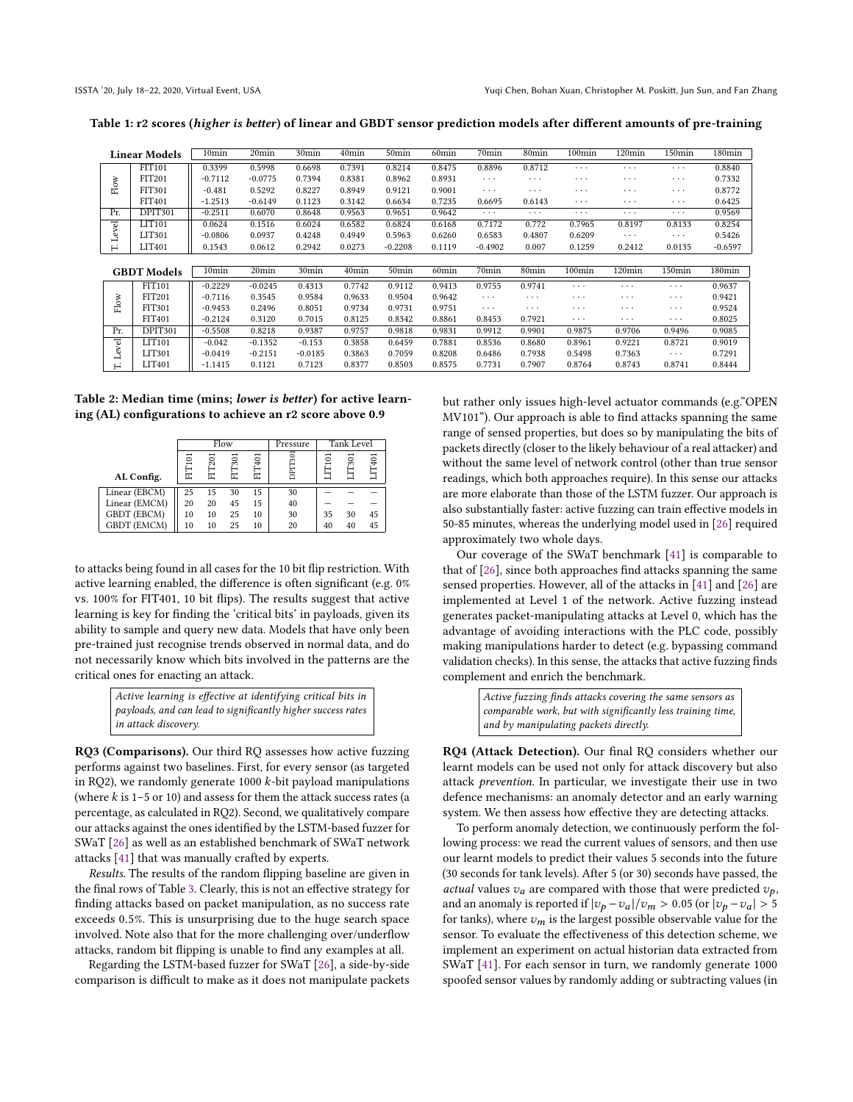<span id="page-7-0"></span>Table 1: r2 scores (higher is better) of linear and GBDT sensor prediction models after different amounts of pre-training

|              | <b>Linear Models</b> | 10 <sub>min</sub> | 20 <sub>min</sub> | 30min     | 40min             | 50 <sub>min</sub> | 60 <sub>min</sub> | 70min             | 80 <sub>min</sub> | $100$ min          | 120min                  | 150min             | 180min    |
|--------------|----------------------|-------------------|-------------------|-----------|-------------------|-------------------|-------------------|-------------------|-------------------|--------------------|-------------------------|--------------------|-----------|
|              | FIT101               | 0.3399            | 0.5998            | 0.6698    | 0.7391            | 0.8214            | 0.8475            | 0.8896            | 0.8712            | $\cdots$           | $\cdot$ $\cdot$ $\cdot$ | $\cdots$           | 0.8840    |
|              | FIT201               | $-0.7112$         | $-0.0775$         | 0.7394    | 0.8381            | 0.8962            | 0.8931            | $\cdots$          | $\cdots$          | $\cdots$           | .                       | $\cdots$           | 0.7332    |
| ${\rm Flow}$ | <b>FIT301</b>        | $-0.481$          | 0.5292            | 0.8227    | 0.8949            | 0.9121            | 0.9001            | $\cdots$          | $\cdots$          | $\cdots$           | .                       | $\cdots$           | 0.8772    |
|              | FIT401               | $-1.2513$         | $-0.6149$         | 0.1123    | 0.3142            | 0.6634            | 0.7235            | 0.6695            | 0.6143            | $\cdots$           | .                       | $\cdots$           | 0.6425    |
| Pr.          | DPIT301              | $-0.2511$         | 0.6070            | 0.8648    | 0.9563            | 0.9651            | 0.9642            | $\cdots$          | $\cdots$          | $\cdots$           | $\cdot$ $\cdot$ $\cdot$ | $\cdots$           | 0.9569    |
|              | LIT101               | 0.0624            | 0.1516            | 0.6024    | 0.6582            | 0.6824            | 0.6168            | 0.7172            | 0.772             | 0.7965             | 0.8197                  | 0.8133             | 0.8254    |
| Level        | LIT301               | $-0.0806$         | 0.0937            | 0.4248    | 0.4949            | 0.5963            | 0.6260            | 0.6583            | 0.4807            | 0.6209             | $\cdots$                | $\cdots$           | 0.5426    |
| н            | LIT401               | 0.1543            | 0.0612            | 0.2942    | 0.0273            | $-0.2208$         | 0.1119            | $-0.4902$         | 0.007             | 0.1259             | 0.2412                  | 0.0135             | $-0.6597$ |
|              |                      |                   |                   |           |                   |                   |                   |                   |                   |                    |                         |                    |           |
|              | <b>GBDT</b> Models   | 10 <sub>min</sub> | 20min             | 30min     | 40 <sub>min</sub> | 50 <sub>min</sub> | 60 <sub>min</sub> | 70 <sub>min</sub> | 80min             | 100 <sub>min</sub> | $120$ min               | 150 <sub>min</sub> | 180min    |
|              | FIT101               | $-0.2229$         | $-0.0245$         | 0.4313    | 0.7742            | 0.9112            | 0.9413            | 0.9755            | 0.9741            | $\cdots$           | .                       | $\cdots$           | 0.9637    |
|              | <b>FIT201</b>        | $-0.7116$         | 0.3545            | 0.9584    | 0.9633            | 0.9504            | 0.9642            | $\cdots$          | $\cdots$          | $\cdots$           | $\cdots$                | $\cdots$           | 0.9421    |
| Flow         | <b>FIT301</b>        | $-0.9453$         | 0.2496            | 0.8051    | 0.9734            | 0.9731            | 0.9751            | $\cdots$          | $\cdots$          | $\cdots$           | $\cdots$                | $\cdots$           | 0.9524    |
|              | <b>FIT401</b>        | $-0.2124$         | 0.3120            | 0.7015    | 0.8125            | 0.8342            | 0.8861            | 0.8453            | 0.7921            | $\cdots$           | $\cdots$                | $\cdots$           | 0.8025    |
| Pr.          | DPIT301              | $-0.5508$         | 0.8218            | 0.9387    | 0.9757            | 0.9818            | 0.9831            | 0.9912            | 0.9901            | 0.9875             | 0.9706                  | 0.9496             | 0.9085    |
|              | LIT101               | $-0.042$          | $-0.1352$         | $-0.153$  | 0.3858            | 0.6459            | 0.7881            | 0.8536            | 0.8680            | 0.8961             | 0.9221                  | 0.8721             | 0.9019    |
| Level        | LIT301               | $-0.0419$         | $-0.2151$         | $-0.0185$ | 0.3863            | 0.7059            | 0.8208            | 0.6486            | 0.7938            | 0.5498             | 0.7363                  | $\cdots$           | 0.7291    |
| ⊢            | LIT401               | $-1.1415$         | 0.1121            | 0.7123    | 0.8377            | 0.8503            | 0.8575            | 0.7731            | 0.7907            | 0.8764             | 0.8743                  | 0.8741             | 0.8444    |

<span id="page-7-1"></span>Table 2: Median time (mins; lower is better) for active learning (AL) configurations to achieve an r2 score above 0.9

|                    |    |                   | Flow |    | Pressure                 |       | Tank Level |    |
|--------------------|----|-------------------|------|----|--------------------------|-------|------------|----|
|                    | 5  | 401<br>301<br>201 |      |    | $\overline{301}$<br>DPIT | $\Xi$ | 301        |    |
| AL Config.         |    |                   |      |    |                          |       |            |    |
| Linear (EBCM)      | 25 | 15                | 30   | 15 | 30                       |       |            |    |
| Linear (EMCM)      | 20 | 20                | 45   | 15 | 40                       |       |            |    |
| GBDT (EBCM)        | 10 | 10                | 25   | 10 | 30                       | 35    | 30         | 45 |
| <b>GBDT</b> (EMCM) | 10 | 10                | 25   | 10 | 20                       | 40    | 40         | 45 |

to attacks being found in all cases for the 10 bit flip restriction. With active learning enabled, the difference is often significant (e.g. 0% vs. 100% for FIT401, 10 bit flips). The results suggest that active learning is key for finding the 'critical bits' in payloads, given its ability to sample and query new data. Models that have only been pre-trained just recognise trends observed in normal data, and do not necessarily know which bits involved in the patterns are the critical ones for enacting an attack.

> Active learning is effective at identifying critical bits in payloads, and can lead to significantly higher success rates in attack discovery.

RQ3 (Comparisons). Our third RQ assesses how active fuzzing performs against two baselines. First, for every sensor (as targeted in RQ2), we randomly generate 1000  $k$ -bit payload manipulations (where  $k$  is 1–5 or 10) and assess for them the attack success rates (a percentage, as calculated in RQ2). Second, we qualitatively compare our attacks against the ones identified by the LSTM-based fuzzer for SWaT [\[26\]](#page-11-15) as well as an established benchmark of SWaT network attacks [\[41\]](#page-11-14) that was manually crafted by experts.

Results. The results of the random flipping baseline are given in the final rows of Table [3.](#page-8-0) Clearly, this is not an effective strategy for finding attacks based on packet manipulation, as no success rate exceeds <sup>0</sup>.5%. This is unsurprising due to the huge search space involved. Note also that for the more challenging over/underflow attacks, random bit flipping is unable to find any examples at all.

Regarding the LSTM-based fuzzer for SWaT [\[26\]](#page-11-15), a side-by-side comparison is difficult to make as it does not manipulate packets but rather only issues high-level actuator commands (e.g."OPEN MV101"). Our approach is able to find attacks spanning the same range of sensed properties, but does so by manipulating the bits of packets directly (closer to the likely behaviour of a real attacker) and without the same level of network control (other than true sensor readings, which both approaches require). In this sense our attacks are more elaborate than those of the LSTM fuzzer. Our approach is also substantially faster: active fuzzing can train effective models in 50-85 minutes, whereas the underlying model used in [\[26\]](#page-11-15) required approximately two whole days.

Our coverage of the SWaT benchmark [\[41\]](#page-11-14) is comparable to that of [\[26\]](#page-11-15), since both approaches find attacks spanning the same sensed properties. However, all of the attacks in [\[41\]](#page-11-14) and [\[26\]](#page-11-15) are implemented at Level 1 of the network. Active fuzzing instead generates packet-manipulating attacks at Level 0, which has the advantage of avoiding interactions with the PLC code, possibly making manipulations harder to detect (e.g. bypassing command validation checks). In this sense, the attacks that active fuzzing finds complement and enrich the benchmark.

> Active fuzzing finds attacks covering the same sensors as comparable work, but with significantly less training time, and by manipulating packets directly.

RQ4 (Attack Detection). Our final RQ considers whether our learnt models can be used not only for attack discovery but also attack prevention. In particular, we investigate their use in two defence mechanisms: an anomaly detector and an early warning system. We then assess how effective they are detecting attacks.

To perform anomaly detection, we continuously perform the following process: we read the current values of sensors, and then use our learnt models to predict their values 5 seconds into the future (30 seconds for tank levels). After 5 (or 30) seconds have passed, the *actual* values  $v_a$  are compared with those that were predicted  $v_b$ , and an anomaly is reported if  $|v_p - v_a|/v_m > 0.05$  (or  $|v_p - v_a| > 5$ for tanks), where  $v_m$  is the largest possible observable value for the sensor. To evaluate the effectiveness of this detection scheme, we implement an experiment on actual historian data extracted from SWaT [\[41\]](#page-11-14). For each sensor in turn, we randomly generate 1000 spoofed sensor values by randomly adding or subtracting values (in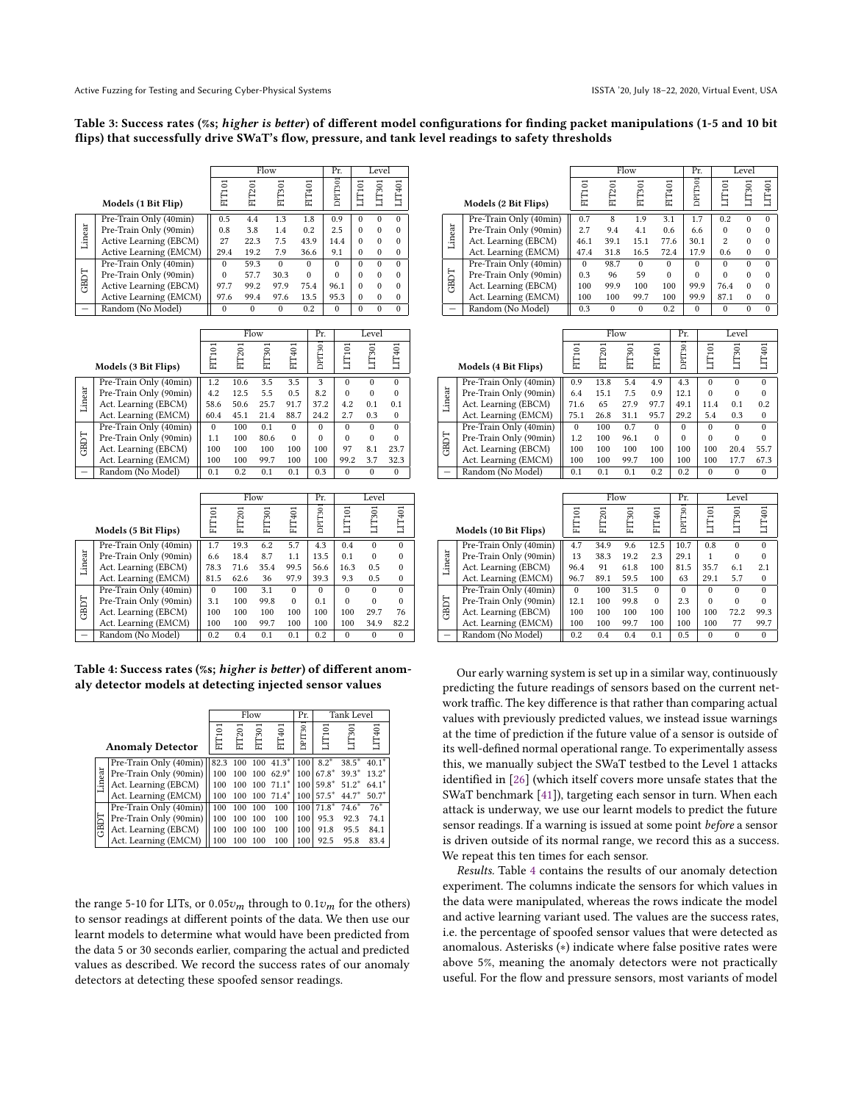#### <span id="page-8-0"></span>Table 3: Success rates (%s; higher is better) of different model configurations for finding packet manipulations (1-5 and 10 bit flips) that successfully drive SWaT's flow, pressure, and tank level readings to safety thresholds

|        |                        |          |               | Flow     |          | Pr.      |          | Level    |          |
|--------|------------------------|----------|---------------|----------|----------|----------|----------|----------|----------|
|        | Models (1 Bit Flip)    | FIT101   | <b>FIT201</b> | FIT301   | FIT401   | DPIT301  | LIT101   | TT301    | LIT401   |
|        | Pre-Train Only (40min) | 0.5      | 4.4           | 1.3      | 1.8      | 0.9      | $\Omega$ | $\Omega$ | $\Omega$ |
| Linear | Pre-Train Only (90min) | 0.8      | 3.8           | 1.4      | 0.2      | 2.5      | $\Omega$ | $\Omega$ | $\Omega$ |
|        | Active Learning (EBCM) | 27       | 22.3          | 7.5      | 43.9     | 14.4     | $\theta$ | $\Omega$ | $\Omega$ |
|        | Active Learning (EMCM) | 29.4     | 19.2          | 7.9      | 36.6     | 9.1      | $\Omega$ | $\Omega$ | $\Omega$ |
|        | Pre-Train Only (40min) | $\Omega$ | 59.3          | $\Omega$ | $\Omega$ | $\Omega$ | $\Omega$ |          | $\Omega$ |
| GBDT   | Pre-Train Only (90min) | $\Omega$ | 57.7          | 30.3     | $\Omega$ | $\Omega$ | $\Omega$ |          | $\Omega$ |
|        | Active Learning (EBCM) | 97.7     | 99.2          | 97.9     | 75.4     | 96.1     | $\Omega$ | $\Omega$ | $\Omega$ |
|        | Active Learning (EMCM) | 97.6     | 99.4          | 97.6     | 13.5     | 95.3     | $\Omega$ | $\Omega$ | $\Omega$ |
|        | Random (No Model)      | $\Omega$ | $\Omega$      | $\Omega$ | 0.2      | $\Omega$ | $\Omega$ |          |          |

|        |                        |          |        | Flow   |          | Pr.                 |          | Level    |          |
|--------|------------------------|----------|--------|--------|----------|---------------------|----------|----------|----------|
|        | Models (3 Bit Flips)   | FIT101   | FIT201 | FIT301 | FIT401   | DPIT <sub>301</sub> | LIT101   | LIT301   | LIT401   |
|        | Pre-Train Only (40min) | 1.2      | 10.6   | 3.5    | 3.5      | 3                   | $\Omega$ | $\Omega$ | $\Omega$ |
| Linear | Pre-Train Only (90min) | 4.2      | 12.5   | 5.5    | 0.5      | 8.2                 | $\Omega$ | $\Omega$ | $\Omega$ |
|        | Act. Learning (EBCM)   | 58.6     | 50.6   | 25.7   | 91.7     | 37.2                | 4.2      | 0.1      | 0.1      |
|        | Act. Learning (EMCM)   | 60.4     | 45.1   | 21.4   | 88.7     | 24.2                | 2.7      | 0.3      | $\Omega$ |
|        | Pre-Train Only (40min) | $\Omega$ | 100    | 0.1    | $\Omega$ | $\Omega$            | $\Omega$ | $\Omega$ | $\Omega$ |
| GBDT   | Pre-Train Only (90min) | 1.1      | 100    | 80.6   | $\Omega$ | $\Omega$            | $\Omega$ | $\Omega$ | $\Omega$ |
|        | Act. Learning (EBCM)   | 100      | 100    | 100    | 100      | 100                 | 97       | 8.1      | 23.7     |
|        | Act. Learning (EMCM)   | 100      | 100    | 99.7   | 100      | 100                 | 99.2     | 3.7      | 32.3     |
|        | Random (No Model)      | 0.1      | 0.2    | 0.1    | 0.1      | 0.3                 | $\Omega$ | $\Omega$ | $\Omega$ |

|                          |                        |          |               | Flow   |          | Pr.      |          | Level    |          |
|--------------------------|------------------------|----------|---------------|--------|----------|----------|----------|----------|----------|
|                          | Models (5 Bit Flips)   | FIT101   | <b>FIT201</b> | FIT301 | FIT401   | DPIT301  | LIT101   | LIT301   | LIT401   |
|                          | Pre-Train Only (40min) | 1.7      | 19.3          | 6.2    | 5.7      | 4.3      | 0.4      | $\Omega$ | $\Omega$ |
| Linear                   | Pre-Train Only (90min) | 6.6      | 18.4          | 8.7    | 1.1      | 13.5     | 0.1      | $\theta$ | $\Omega$ |
|                          | Act. Learning (EBCM)   | 78.3     | 71.6          | 35.4   | 99.5     | 56.6     | 16.3     | 0.5      | $\Omega$ |
|                          | Act. Learning (EMCM)   | 81.5     | 62.6          | 36     | 97.9     | 39.3     | 9.3      | 0.5      | $\theta$ |
|                          | Pre-Train Only (40min) | $\Omega$ | 100           | 3.1    | $\Omega$ | $\Omega$ | $\Omega$ | $\Omega$ | $\Omega$ |
|                          | Pre-Train Only (90min) | 3.1      | 100           | 99.8   | $\theta$ | 0.1      | $\Omega$ | $\theta$ | $\Omega$ |
| GBDT                     | Act. Learning (EBCM)   | 100      | 100           | 100    | 100      | 100      | 100      | 29.7     | 76       |
|                          | Act. Learning (EMCM)   | 100      | 100           | 99.7   | 100      | 100      | 100      | 34.9     | 82.2     |
| $\overline{\phantom{a}}$ | Random (No Model)      | 0.2      | 0.4           | 0.1    | 0.1      | 0.2      | $\Omega$ | $\theta$ | $\Omega$ |

<span id="page-8-1"></span>Table 4: Success rates (%s; higher is better) of different anomaly detector models at detecting injected sensor values

|             |                                       |        |        | Flow   |                                 | Pr.              |         | <b>Tank Level</b> |         |
|-------------|---------------------------------------|--------|--------|--------|---------------------------------|------------------|---------|-------------------|---------|
|             | <b>Anomaly Detector</b>               | FIT101 | FIT201 | FIT301 | FIT401                          | DPIT301          | LIT101  | LIT301            | LIT401  |
|             | Pre-Train Only (40min)   82.3 100 100 |        |        |        | $41.3*$                         | 100              | $8.2*$  | $38.5*$           | $40.1*$ |
| Linear      | Pre-Train Only (90min)                | 100    |        |        | $100$ $100$ $62.9$ <sup>*</sup> | 100              | $67.8*$ | $39.3*$           | $13.2*$ |
|             | Act. Learning (EBCM)                  | 100    |        |        | 100 100 71.1*                   | 100 <sub>1</sub> | $59.8*$ | $51.2*$           | $64.1*$ |
|             | Act. Learning (EMCM)                  | 100    |        |        | 100 100 71.4*                   | 100 <sub>1</sub> | $57.5*$ | $44.7*$           | $50.7*$ |
|             | Pre-Train Only (40min)                | 100    | 100    | 100    | 100                             | 100              | $71.8*$ | $74.6*$           | $76*$   |
| <b>GBDT</b> | Pre-Train Only (90min)                | 100    | 100    | 100    | 100                             | 100              | 95.3    | 92.3              | 74.1    |
|             | Act. Learning (EBCM)                  | 100    | 100    | 100    | 100                             | 100              | 91.8    | 95.5              | 84.1    |
|             | Act. Learning (EMCM)                  | 100    | 100    | 100    | 100                             | 100              | 92.5    | 95.8              | 83.4    |

the range 5-10 for LITs, or  $0.05v_m$  through to  $0.1v_m$  for the others) to sensor readings at different points of the data. We then use our learnt models to determine what would have been predicted from the data 5 or 30 seconds earlier, comparing the actual and predicted values as described. We record the success rates of our anomaly detectors at detecting these spoofed sensor readings.

|             |                        |          |          | Flow     |          | Pr.      |                | Level    |          |
|-------------|------------------------|----------|----------|----------|----------|----------|----------------|----------|----------|
|             | Models (2 Bit Flips)   | FIT101   | FIT201   | FIT301   | FIT401   | DPIT301  | LIT101         | LIT301   | LIT401   |
|             | Pre-Train Only (40min) | 0.7      | 8        | 1.9      | 3.1      | 1.7      | 0.2            | $\Omega$ | $\theta$ |
| Linear      | Pre-Train Only (90min) | 2.7      | 9.4      | 4.1      | 0.6      | 6.6      | $\Omega$       | $\Omega$ | $\Omega$ |
|             | Act. Learning (EBCM)   | 46.1     | 39.1     | 15.1     | 77.6     | 30.1     | $\overline{c}$ | $\theta$ | $\Omega$ |
|             | Act. Learning (EMCM)   | 47.4     | 31.8     | 16.5     | 72.4     | 17.9     | 0.6            | $\Omega$ | $\Omega$ |
|             | Pre-Train Only (40min) | $\Omega$ | 98.7     | $\Omega$ | $\Omega$ | $\Omega$ | $\Omega$       | $\Omega$ | $\theta$ |
|             | Pre-Train Only (90min) | 0.3      | 96       | 59       | $\Omega$ | $\Omega$ |                | $\theta$ | $\theta$ |
| <b>GBDT</b> | Act. Learning (EBCM)   | 100      | 99.9     | 100      | 100      | 99.9     | 76.4           | $\Omega$ | $\Omega$ |
|             | Act. Learning (EMCM)   | 100      | 100      | 99.7     | 100      | 99.9     | 87.1           | $\Omega$ | $\Omega$ |
|             | Random (No Model)      | 0.3      | $\Omega$ | $\Omega$ | 0.2      | $\Omega$ | $\Omega$       | $\Omega$ | $\Omega$ |

|        |                        |          |        | Flow   |          | Pr.      |          | Level    |          |
|--------|------------------------|----------|--------|--------|----------|----------|----------|----------|----------|
|        | Models (4 Bit Flips)   | FIT101   | FIT201 | FIT301 | FIT401   | DPIT301  | LIT101   | LIT301   | LIT401   |
|        | Pre-Train Only (40min) | 0.9      | 13.8   | 5.4    | 4.9      | 4.3      | $\Omega$ | $\Omega$ | $\Omega$ |
| Linear | Pre-Train Only (90min) | 6.4      | 15.1   | 7.5    | 0.9      | 12.1     | $\theta$ | $\Omega$ | $\theta$ |
|        | Act. Learning (EBCM)   | 71.6     | 65     | 27.9   | 97.7     | 49.1     | 11.4     | 0.1      | 0.2      |
|        | Act. Learning (EMCM)   | 75.1     | 26.8   | 31.1   | 95.7     | 29.2     | 5.4      | 0.3      | $\Omega$ |
|        | Pre-Train Only (40min) | $\Omega$ | 100    | 0.7    | $\Omega$ | $\Omega$ | $\Omega$ | $\Omega$ | $\Omega$ |
|        | Pre-Train Only (90min) | 1.2      | 100    | 96.1   | $\Omega$ | $\Omega$ | $\Omega$ | $\Omega$ | $\Omega$ |
| GBDT   | Act. Learning (EBCM)   | 100      | 100    | 100    | 100      | 100      | 100      | 20.4     | 55.7     |
|        | Act. Learning (EMCM)   | 100      | 100    | 99.7   | 100      | 100      | 100      | 17.7     | 67.3     |
|        | Random (No Model)      | 0.1      | 0.1    | 0.1    | 0.2      | 0.2      | $\Omega$ | $\Omega$ | $\Omega$ |

|        |                        |          | Flow          |        |          | Pr.      |          | Level    |              |
|--------|------------------------|----------|---------------|--------|----------|----------|----------|----------|--------------|
|        | Models (10 Bit Flips)  | FIT101   | <b>FIT201</b> | FIT301 | FIT401   | DPIT301  | LT101    | LIT301   | LIT401       |
|        | Pre-Train Only (40min) | 4.7      | 34.9          | 9.6    | 12.5     | 10.7     | 0.8      | $\Omega$ | $\Omega$     |
| Linear | Pre-Train Only (90min) | 13       | 38.3          | 19.2   | 2.3      | 29.1     |          | $\Omega$ | $\Omega$     |
|        | Act. Learning (EBCM)   | 96.4     | 91            | 61.8   | 100      | 81.5     | 35.7     | 6.1      | 2.1          |
|        | Act. Learning (EMCM)   | 96.7     | 89.1          | 59.5   | 100      | 63       | 29.1     | 5.7      | $\mathbf{0}$ |
|        | Pre-Train Only (40min) | $\Omega$ | 100           | 31.5   | $\Omega$ | $\Omega$ | $\Omega$ | $\Omega$ | $\Omega$     |
|        | Pre-Train Only (90min) | 12.1     | 100           | 99.8   | $\Omega$ | 2.3      | $\Omega$ | $\Omega$ | $\Omega$     |
| GBDT   | Act. Learning (EBCM)   | 100      | 100           | 100    | 100      | 100      | 100      | 72.2     | 99.3         |
|        | Act. Learning (EMCM)   | 100      | 100           | 99.7   | 100      | 100      | 100      | 77       | 99.7         |
|        | Random (No Model)      | 0.2      | 0.4           | 0.4    | 0.1      | 0.5      | $\Omega$ | $\theta$ | $\Omega$     |

Our early warning system is set up in a similar way, continuously predicting the future readings of sensors based on the current network traffic. The key difference is that rather than comparing actual values with previously predicted values, we instead issue warnings at the time of prediction if the future value of a sensor is outside of its well-defined normal operational range. To experimentally assess this, we manually subject the SWaT testbed to the Level 1 attacks identified in [\[26\]](#page-11-15) (which itself covers more unsafe states that the SWaT benchmark [\[41\]](#page-11-14)), targeting each sensor in turn. When each attack is underway, we use our learnt models to predict the future sensor readings. If a warning is issued at some point before a sensor is driven outside of its normal range, we record this as a success. We repeat this ten times for each sensor.

Results. Table [4](#page-8-1) contains the results of our anomaly detection experiment. The columns indicate the sensors for which values in the data were manipulated, whereas the rows indicate the model and active learning variant used. The values are the success rates, i.e. the percentage of spoofed sensor values that were detected as anomalous. Asterisks (∗) indicate where false positive rates were above 5%, meaning the anomaly detectors were not practically useful. For the flow and pressure sensors, most variants of model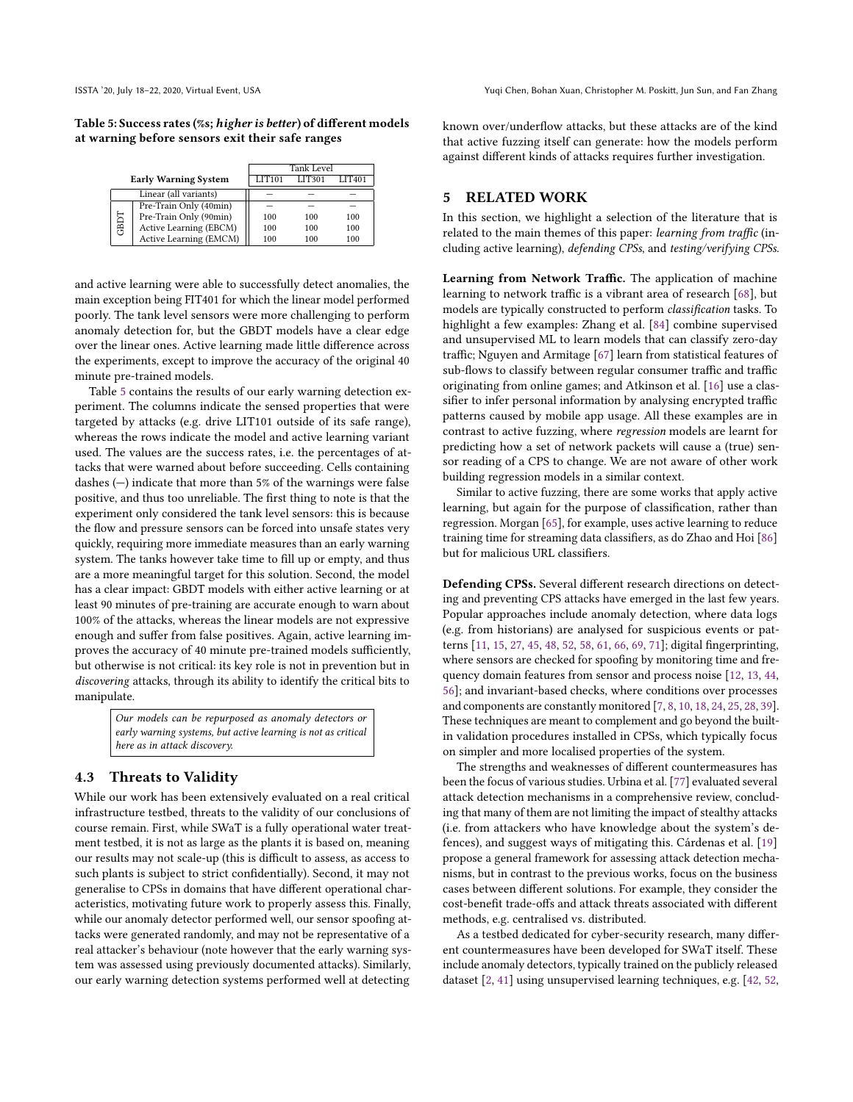<span id="page-9-1"></span>Table 5: Success rates (%s; higher is better) of different models at warning before sensors exit their safe ranges

|                             |                        | <b>Tank Level</b> |        |               |
|-----------------------------|------------------------|-------------------|--------|---------------|
| <b>Early Warning System</b> |                        | <b>LIT101</b>     | LIT301 | <b>LIT401</b> |
| Linear (all variants)       |                        |                   |        |               |
| GBDT                        | Pre-Train Only (40min) |                   |        |               |
|                             | Pre-Train Only (90min) | 100               | 100    | 100           |
|                             | Active Learning (EBCM) | 100               | 100    | 100           |
|                             | Active Learning (EMCM) | 100               | 100    | 100           |

and active learning were able to successfully detect anomalies, the main exception being FIT401 for which the linear model performed poorly. The tank level sensors were more challenging to perform anomaly detection for, but the GBDT models have a clear edge over the linear ones. Active learning made little difference across the experiments, except to improve the accuracy of the original 40 minute pre-trained models.

Table [5](#page-9-1) contains the results of our early warning detection experiment. The columns indicate the sensed properties that were targeted by attacks (e.g. drive LIT101 outside of its safe range), whereas the rows indicate the model and active learning variant used. The values are the success rates, i.e. the percentages of attacks that were warned about before succeeding. Cells containing dashes (—) indicate that more than 5% of the warnings were false positive, and thus too unreliable. The first thing to note is that the experiment only considered the tank level sensors: this is because the flow and pressure sensors can be forced into unsafe states very quickly, requiring more immediate measures than an early warning system. The tanks however take time to fill up or empty, and thus are a more meaningful target for this solution. Second, the model has a clear impact: GBDT models with either active learning or at least 90 minutes of pre-training are accurate enough to warn about 100% of the attacks, whereas the linear models are not expressive enough and suffer from false positives. Again, active learning improves the accuracy of 40 minute pre-trained models sufficiently, but otherwise is not critical: its key role is not in prevention but in discovering attacks, through its ability to identify the critical bits to manipulate.

> Our models can be repurposed as anomaly detectors or early warning systems, but active learning is not as critical here as in attack discovery.

## 4.3 Threats to Validity

While our work has been extensively evaluated on a real critical infrastructure testbed, threats to the validity of our conclusions of course remain. First, while SWaT is a fully operational water treatment testbed, it is not as large as the plants it is based on, meaning our results may not scale-up (this is difficult to assess, as access to such plants is subject to strict confidentially). Second, it may not generalise to CPSs in domains that have different operational characteristics, motivating future work to properly assess this. Finally, while our anomaly detector performed well, our sensor spoofing attacks were generated randomly, and may not be representative of a real attacker's behaviour (note however that the early warning system was assessed using previously documented attacks). Similarly, our early warning detection systems performed well at detecting

known over/underflow attacks, but these attacks are of the kind that active fuzzing itself can generate: how the models perform against different kinds of attacks requires further investigation.

## <span id="page-9-0"></span>5 RELATED WORK

In this section, we highlight a selection of the literature that is related to the main themes of this paper: learning from traffic (including active learning), defending CPSs, and testing/verifying CPSs.

Learning from Network Traffic. The application of machine learning to network traffic is a vibrant area of research [\[68\]](#page-12-19), but models are typically constructed to perform classification tasks. To highlight a few examples: Zhang et al. [\[84\]](#page-12-20) combine supervised and unsupervised ML to learn models that can classify zero-day traffic; Nguyen and Armitage [\[67\]](#page-12-21) learn from statistical features of sub-flows to classify between regular consumer traffic and traffic originating from online games; and Atkinson et al. [\[16\]](#page-11-29) use a classifier to infer personal information by analysing encrypted traffic patterns caused by mobile app usage. All these examples are in contrast to active fuzzing, where regression models are learnt for predicting how a set of network packets will cause a (true) sensor reading of a CPS to change. We are not aware of other work building regression models in a similar context.

Similar to active fuzzing, there are some works that apply active learning, but again for the purpose of classification, rather than regression. Morgan [\[65\]](#page-12-22), for example, uses active learning to reduce training time for streaming data classifiers, as do Zhao and Hoi [\[86\]](#page-12-23) but for malicious URL classifiers.

Defending CPSs. Several different research directions on detecting and preventing CPS attacks have emerged in the last few years. Popular approaches include anomaly detection, where data logs (e.g. from historians) are analysed for suspicious events or patterns [\[11,](#page-11-0) [15,](#page-11-1) [27,](#page-11-2) [45,](#page-12-5) [48,](#page-12-6) [52,](#page-12-7) [58,](#page-12-8) [61,](#page-12-9) [66,](#page-12-10) [69,](#page-12-11) [71\]](#page-12-12); digital fingerprinting, where sensors are checked for spoofing by monitoring time and frequency domain features from sensor and process noise [\[12,](#page-11-3) [13,](#page-11-4) [44,](#page-12-13) [56\]](#page-12-14); and invariant-based checks, where conditions over processes and components are constantly monitored [\[7,](#page-11-5) [8,](#page-11-6) [10,](#page-11-7) [18,](#page-11-8) [24,](#page-11-9) [25,](#page-11-10) [28,](#page-11-11) [39\]](#page-11-12). These techniques are meant to complement and go beyond the builtin validation procedures installed in CPSs, which typically focus on simpler and more localised properties of the system.

The strengths and weaknesses of different countermeasures has been the focus of various studies. Urbina et al. [\[77\]](#page-12-24) evaluated several attack detection mechanisms in a comprehensive review, concluding that many of them are not limiting the impact of stealthy attacks (i.e. from attackers who have knowledge about the system's defences), and suggest ways of mitigating this. Cárdenas et al. [\[19\]](#page-11-30) propose a general framework for assessing attack detection mechanisms, but in contrast to the previous works, focus on the business cases between different solutions. For example, they consider the cost-benefit trade-offs and attack threats associated with different methods, e.g. centralised vs. distributed.

As a testbed dedicated for cyber-security research, many different countermeasures have been developed for SWaT itself. These include anomaly detectors, typically trained on the publicly released dataset [\[2,](#page-11-13) [41\]](#page-11-14) using unsupervised learning techniques, e.g. [\[42,](#page-11-31) [52,](#page-12-7)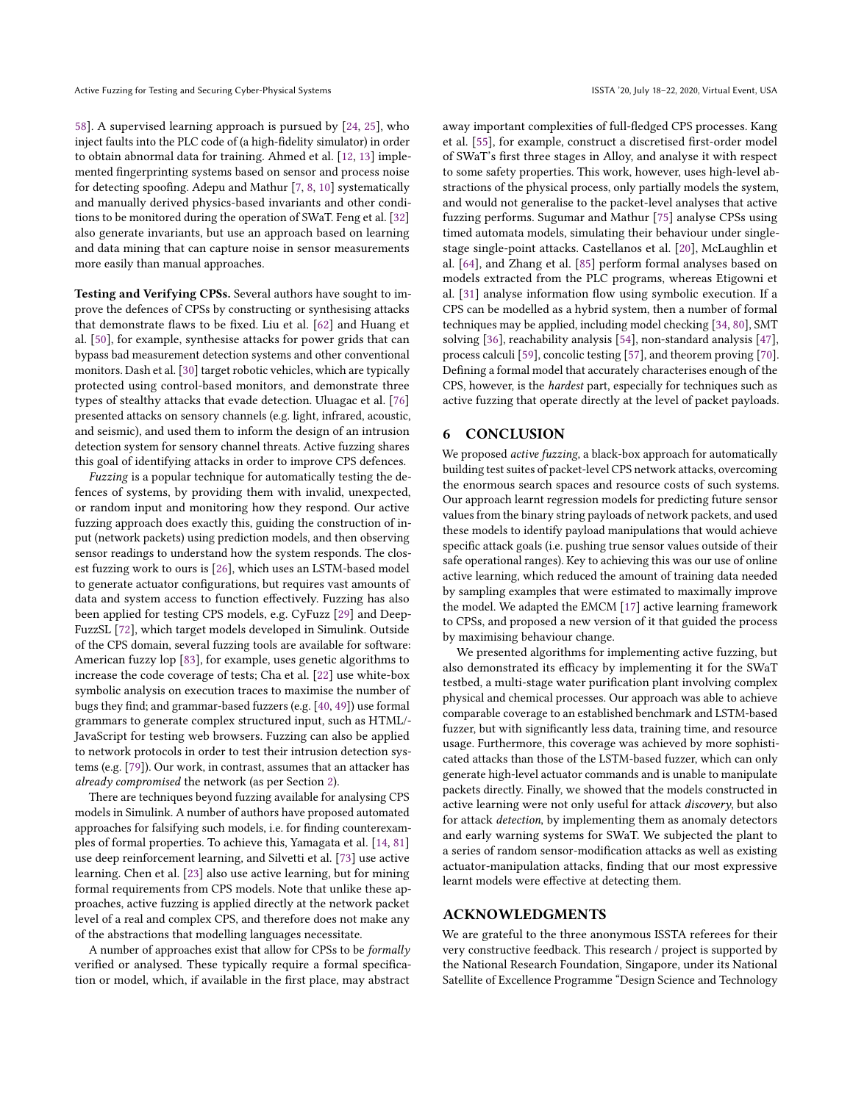[58\]](#page-12-8). A supervised learning approach is pursued by [\[24,](#page-11-9) [25\]](#page-11-10), who inject faults into the PLC code of (a high-fidelity simulator) in order to obtain abnormal data for training. Ahmed et al. [\[12,](#page-11-3) [13\]](#page-11-4) implemented fingerprinting systems based on sensor and process noise for detecting spoofing. Adepu and Mathur [\[7,](#page-11-5) [8,](#page-11-6) [10\]](#page-11-7) systematically and manually derived physics-based invariants and other conditions to be monitored during the operation of SWaT. Feng et al. [\[32\]](#page-11-32) also generate invariants, but use an approach based on learning and data mining that can capture noise in sensor measurements more easily than manual approaches.

Testing and Verifying CPSs. Several authors have sought to improve the defences of CPSs by constructing or synthesising attacks that demonstrate flaws to be fixed. Liu et al. [\[62\]](#page-12-25) and Huang et al. [\[50\]](#page-12-26), for example, synthesise attacks for power grids that can bypass bad measurement detection systems and other conventional monitors. Dash et al. [\[30\]](#page-11-33) target robotic vehicles, which are typically protected using control-based monitors, and demonstrate three types of stealthy attacks that evade detection. Uluagac et al. [\[76\]](#page-12-27) presented attacks on sensory channels (e.g. light, infrared, acoustic, and seismic), and used them to inform the design of an intrusion detection system for sensory channel threats. Active fuzzing shares this goal of identifying attacks in order to improve CPS defences.

Fuzzing is a popular technique for automatically testing the defences of systems, by providing them with invalid, unexpected, or random input and monitoring how they respond. Our active fuzzing approach does exactly this, guiding the construction of input (network packets) using prediction models, and then observing sensor readings to understand how the system responds. The closest fuzzing work to ours is [\[26\]](#page-11-15), which uses an LSTM-based model to generate actuator configurations, but requires vast amounts of data and system access to function effectively. Fuzzing has also been applied for testing CPS models, e.g. CyFuzz [\[29\]](#page-11-34) and Deep-FuzzSL [\[72\]](#page-12-28), which target models developed in Simulink. Outside of the CPS domain, several fuzzing tools are available for software: American fuzzy lop [\[83\]](#page-12-29), for example, uses genetic algorithms to increase the code coverage of tests; Cha et al. [\[22\]](#page-11-35) use white-box symbolic analysis on execution traces to maximise the number of bugs they find; and grammar-based fuzzers (e.g. [\[40,](#page-11-36) [49\]](#page-12-30)) use formal grammars to generate complex structured input, such as HTML/- JavaScript for testing web browsers. Fuzzing can also be applied to network protocols in order to test their intrusion detection systems (e.g. [\[79\]](#page-12-31)). Our work, in contrast, assumes that an attacker has already compromised the network (as per Section [2\)](#page-1-0).

There are techniques beyond fuzzing available for analysing CPS models in Simulink. A number of authors have proposed automated approaches for falsifying such models, i.e. for finding counterexamples of formal properties. To achieve this, Yamagata et al. [\[14,](#page-11-37) [81\]](#page-12-32) use deep reinforcement learning, and Silvetti et al. [\[73\]](#page-12-33) use active learning. Chen et al. [\[23\]](#page-11-38) also use active learning, but for mining formal requirements from CPS models. Note that unlike these approaches, active fuzzing is applied directly at the network packet level of a real and complex CPS, and therefore does not make any of the abstractions that modelling languages necessitate.

A number of approaches exist that allow for CPSs to be formally verified or analysed. These typically require a formal specification or model, which, if available in the first place, may abstract

away important complexities of full-fledged CPS processes. Kang et al. [\[55\]](#page-12-34), for example, construct a discretised first-order model of SWaT's first three stages in Alloy, and analyse it with respect to some safety properties. This work, however, uses high-level abstractions of the physical process, only partially models the system, and would not generalise to the packet-level analyses that active fuzzing performs. Sugumar and Mathur [\[75\]](#page-12-35) analyse CPSs using timed automata models, simulating their behaviour under singlestage single-point attacks. Castellanos et al. [\[20\]](#page-11-39), McLaughlin et al. [\[64\]](#page-12-36), and Zhang et al. [\[85\]](#page-12-37) perform formal analyses based on models extracted from the PLC programs, whereas Etigowni et al. [\[31\]](#page-11-40) analyse information flow using symbolic execution. If a CPS can be modelled as a hybrid system, then a number of formal techniques may be applied, including model checking [\[34,](#page-11-41) [80\]](#page-12-38), SMT solving [\[36\]](#page-11-42), reachability analysis [\[54\]](#page-12-39), non-standard analysis [\[47\]](#page-12-40), process calculi [\[59\]](#page-12-41), concolic testing [\[57\]](#page-12-42), and theorem proving [\[70\]](#page-12-43). Defining a formal model that accurately characterises enough of the CPS, however, is the hardest part, especially for techniques such as active fuzzing that operate directly at the level of packet payloads.

## <span id="page-10-0"></span>6 CONCLUSION

We proposed active fuzzing, a black-box approach for automatically building test suites of packet-level CPS network attacks, overcoming the enormous search spaces and resource costs of such systems. Our approach learnt regression models for predicting future sensor values from the binary string payloads of network packets, and used these models to identify payload manipulations that would achieve specific attack goals (i.e. pushing true sensor values outside of their safe operational ranges). Key to achieving this was our use of online active learning, which reduced the amount of training data needed by sampling examples that were estimated to maximally improve the model. We adapted the EMCM [\[17\]](#page-11-16) active learning framework to CPSs, and proposed a new version of it that guided the process by maximising behaviour change.

We presented algorithms for implementing active fuzzing, but also demonstrated its efficacy by implementing it for the SWaT testbed, a multi-stage water purification plant involving complex physical and chemical processes. Our approach was able to achieve comparable coverage to an established benchmark and LSTM-based fuzzer, but with significantly less data, training time, and resource usage. Furthermore, this coverage was achieved by more sophisticated attacks than those of the LSTM-based fuzzer, which can only generate high-level actuator commands and is unable to manipulate packets directly. Finally, we showed that the models constructed in active learning were not only useful for attack discovery, but also for attack detection, by implementing them as anomaly detectors and early warning systems for SWaT. We subjected the plant to a series of random sensor-modification attacks as well as existing actuator-manipulation attacks, finding that our most expressive learnt models were effective at detecting them.

#### ACKNOWLEDGMENTS

We are grateful to the three anonymous ISSTA referees for their very constructive feedback. This research / project is supported by the National Research Foundation, Singapore, under its National Satellite of Excellence Programme "Design Science and Technology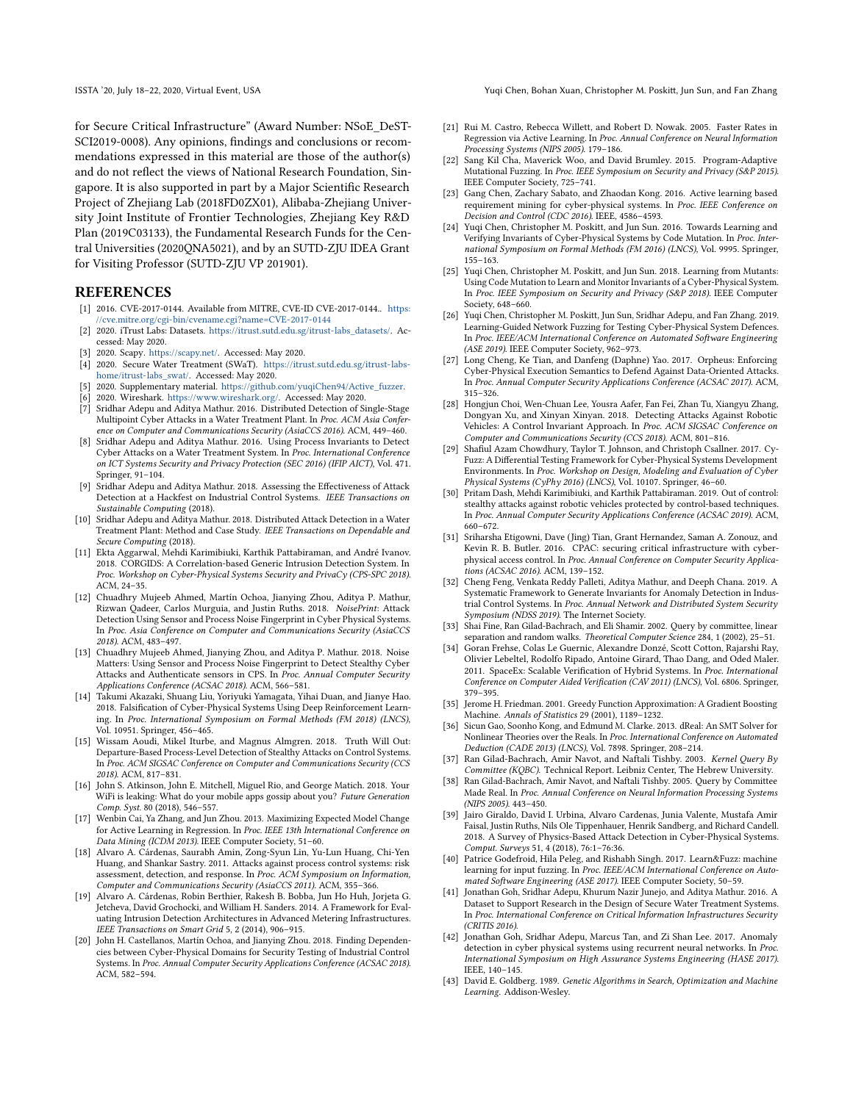for Secure Critical Infrastructure" (Award Number: NSoE\_DeST-SCI2019-0008). Any opinions, findings and conclusions or recommendations expressed in this material are those of the author(s) and do not reflect the views of National Research Foundation, Singapore. It is also supported in part by a Major Scientific Research Project of Zhejiang Lab (2018FD0ZX01), Alibaba-Zhejiang University Joint Institute of Frontier Technologies, Zhejiang Key R&D Plan (2019C03133), the Fundamental Research Funds for the Central Universities (2020QNA5021), and by an SUTD-ZJU IDEA Grant for Visiting Professor (SUTD-ZJU VP 201901).

#### REFERENCES

- <span id="page-11-21"></span>[1] 2016. CVE-2017-0144. Available from MITRE, CVE-ID CVE-2017-0144.. [https:](https://cve.mitre.org/cgi-bin/cvename.cgi?name=CVE-2017-0144) [//cve.mitre.org/cgi-bin/cvename.cgi?name=CVE-2017-0144](https://cve.mitre.org/cgi-bin/cvename.cgi?name=CVE-2017-0144)
- <span id="page-11-13"></span>[2] 2020. iTrust Labs: Datasets. [https://itrust.sutd.edu.sg/itrust-labs\\_datasets/.](https://itrust.sutd.edu.sg/itrust-labs_datasets/) Accessed: May 2020.
- <span id="page-11-20"></span>[3] 2020. Scapy. [https://scapy.net/.](https://scapy.net/) Accessed: May 2020.
- <span id="page-11-17"></span>[4] 2020. Secure Water Treatment (SWaT). [https://itrust.sutd.edu.sg/itrust-labs](https://itrust.sutd.edu.sg/itrust-labs-home/itrust-labs_swat/)[home/itrust-labs\\_swat/.](https://itrust.sutd.edu.sg/itrust-labs-home/itrust-labs_swat/) Accessed: May 2020.
- <span id="page-11-28"></span>[5] 2020. Supplementary material. [https://github.com/yuqiChen94/Active\\_fuzzer.](https://github.com/yuqiChen94/Active_fuzzer)
- <span id="page-11-19"></span>[6] 2020. Wireshark. [https://www.wireshark.org/.](https://www.wireshark.org/) Accessed: May 2020.
- <span id="page-11-5"></span>[7] Sridhar Adepu and Aditya Mathur. 2016. Distributed Detection of Single-Stage Multipoint Cyber Attacks in a Water Treatment Plant. In Proc. ACM Asia Conference on Computer and Communications Security (AsiaCCS 2016). ACM, 449–460.
- <span id="page-11-6"></span>[8] Sridhar Adepu and Aditya Mathur. 2016. Using Process Invariants to Detect Cyber Attacks on a Water Treatment System. In Proc. International Conference on ICT Systems Security and Privacy Protection (SEC 2016) (IFIP AICT), Vol. 471. Springer, 91–104.
- <span id="page-11-18"></span>[9] Sridhar Adepu and Aditya Mathur. 2018. Assessing the Effectiveness of Attack Detection at a Hackfest on Industrial Control Systems. IEEE Transactions on Sustainable Computing (2018).
- <span id="page-11-7"></span>[10] Sridhar Adepu and Aditya Mathur. 2018. Distributed Attack Detection in a Water Treatment Plant: Method and Case Study. IEEE Transactions on Dependable and Secure Computing (2018).
- <span id="page-11-0"></span>[11] Ekta Aggarwal, Mehdi Karimibiuki, Karthik Pattabiraman, and André Ivanov. 2018. CORGIDS: A Correlation-based Generic Intrusion Detection System. In Proc. Workshop on Cyber-Physical Systems Security and PrivaCy (CPS-SPC 2018). ACM, 24–35.
- <span id="page-11-3"></span>[12] Chuadhry Mujeeb Ahmed, Martín Ochoa, Jianying Zhou, Aditya P. Mathur, Rizwan Qadeer, Carlos Murguia, and Justin Ruths. 2018. NoisePrint: Attack Detection Using Sensor and Process Noise Fingerprint in Cyber Physical Systems. In Proc. Asia Conference on Computer and Communications Security (AsiaCCS 2018). ACM, 483–497.
- <span id="page-11-4"></span>[13] Chuadhry Mujeeb Ahmed, Jianying Zhou, and Aditya P. Mathur. 2018. Noise Matters: Using Sensor and Process Noise Fingerprint to Detect Stealthy Cyber Attacks and Authenticate sensors in CPS. In Proc. Annual Computer Security Applications Conference (ACSAC 2018). ACM, 566–581.
- <span id="page-11-37"></span>[14] Takumi Akazaki, Shuang Liu, Yoriyuki Yamagata, Yihai Duan, and Jianye Hao. 2018. Falsification of Cyber-Physical Systems Using Deep Reinforcement Learning. In Proc. International Symposium on Formal Methods (FM 2018) (LNCS), Vol. 10951. Springer, 456–465.
- <span id="page-11-1"></span>[15] Wissam Aoudi, Mikel Iturbe, and Magnus Almgren. 2018. Truth Will Out: Departure-Based Process-Level Detection of Stealthy Attacks on Control Systems. In Proc. ACM SIGSAC Conference on Computer and Communications Security (CCS 2018). ACM, 817–831.
- <span id="page-11-29"></span>[16] John S. Atkinson, John E. Mitchell, Miguel Rio, and George Matich. 2018. Your WiFi is leaking: What do your mobile apps gossip about you? Future Generation Comp. Syst. 80 (2018), 546–557.
- <span id="page-11-16"></span>[17] Wenbin Cai, Ya Zhang, and Jun Zhou. 2013. Maximizing Expected Model Change for Active Learning in Regression. In Proc. IEEE 13th International Conference on Data Mining (ICDM 2013). IEEE Computer Society, 51–60.
- <span id="page-11-8"></span>[18] Alvaro A. Cárdenas, Saurabh Amin, Zong-Syun Lin, Yu-Lun Huang, Chi-Yen Huang, and Shankar Sastry. 2011. Attacks against process control systems: risk assessment, detection, and response. In Proc. ACM Symposium on Information, Computer and Communications Security (AsiaCCS 2011). ACM, 355–366.
- <span id="page-11-30"></span>[19] Alvaro A. Cárdenas, Robin Berthier, Rakesh B. Bobba, Jun Ho Huh, Jorjeta G. Jetcheva, David Grochocki, and William H. Sanders. 2014. A Framework for Evaluating Intrusion Detection Architectures in Advanced Metering Infrastructures. IEEE Transactions on Smart Grid 5, 2 (2014), 906–915.
- <span id="page-11-39"></span>[20] John H. Castellanos, Martín Ochoa, and Jianying Zhou. 2018. Finding Dependencies between Cyber-Physical Domains for Security Testing of Industrial Control Systems. In Proc. Annual Computer Security Applications Conference (ACSAC 2018). ACM, 582–594.

ISSTA '20, July 18–22, 2020, Virtual Event, USA Yuqi Chen, Bohan Xuan, Christopher M. Poskitt, Jun Sun, and Fan Zhang

- <span id="page-11-26"></span>[21] Rui M. Castro, Rebecca Willett, and Robert D. Nowak. 2005. Faster Rates in Regression via Active Learning. In Proc. Annual Conference on Neural Information Processing Systems (NIPS 2005). 179–186.
- <span id="page-11-35"></span>[22] Sang Kil Cha, Maverick Woo, and David Brumley. 2015. Program-Adaptive Mutational Fuzzing. In Proc. IEEE Symposium on Security and Privacy (S&P 2015). IEEE Computer Society, 725–741.
- <span id="page-11-38"></span>[23] Gang Chen, Zachary Sabato, and Zhaodan Kong. 2016. Active learning based requirement mining for cyber-physical systems. In Proc. IEEE Conference on Decision and Control (CDC 2016). IEEE, 4586–4593.
- <span id="page-11-9"></span>[24] Yuqi Chen, Christopher M. Poskitt, and Jun Sun. 2016. Towards Learning and Verifying Invariants of Cyber-Physical Systems by Code Mutation. In Proc. International Symposium on Formal Methods (FM 2016) (LNCS), Vol. 9995. Springer, 155–163.
- <span id="page-11-10"></span>[25] Yuqi Chen, Christopher M. Poskitt, and Jun Sun. 2018. Learning from Mutants: Using Code Mutation to Learn and Monitor Invariants of a Cyber-Physical System. In Proc. IEEE Symposium on Security and Privacy (S&P 2018). IEEE Computer Society, 648–660.
- <span id="page-11-15"></span>[26] Yuqi Chen, Christopher M. Poskitt, Jun Sun, Sridhar Adepu, and Fan Zhang. 2019. Learning-Guided Network Fuzzing for Testing Cyber-Physical System Defences. In Proc. IEEE/ACM International Conference on Automated Software Engineering (ASE 2019). IEEE Computer Society, 962–973.
- <span id="page-11-2"></span>[27] Long Cheng, Ke Tian, and Danfeng (Daphne) Yao. 2017. Orpheus: Enforcing Cyber-Physical Execution Semantics to Defend Against Data-Oriented Attacks. In Proc. Annual Computer Security Applications Conference (ACSAC 2017). ACM, 315–326.
- <span id="page-11-11"></span>[28] Hongjun Choi, Wen-Chuan Lee, Yousra Aafer, Fan Fei, Zhan Tu, Xiangyu Zhang, Dongyan Xu, and Xinyan Xinyan. 2018. Detecting Attacks Against Robotic Vehicles: A Control Invariant Approach. In Proc. ACM SIGSAC Conference on Computer and Communications Security (CCS 2018). ACM, 801–816.
- <span id="page-11-34"></span>[29] Shafiul Azam Chowdhury, Taylor T. Johnson, and Christoph Csallner. 2017. Cy-Fuzz: A Differential Testing Framework for Cyber-Physical Systems Development Environments. In Proc. Workshop on Design, Modeling and Evaluation of Cyber Physical Systems (CyPhy 2016) (LNCS), Vol. 10107. Springer, 46–60.
- <span id="page-11-33"></span>[30] Pritam Dash, Mehdi Karimibiuki, and Karthik Pattabiraman. 2019. Out of control: stealthy attacks against robotic vehicles protected by control-based techniques. In Proc. Annual Computer Security Applications Conference (ACSAC 2019). ACM, 660–672.
- <span id="page-11-40"></span>[31] Sriharsha Etigowni, Dave (Jing) Tian, Grant Hernandez, Saman A. Zonouz, and Kevin R. B. Butler. 2016. CPAC: securing critical infrastructure with cyberphysical access control. In Proc. Annual Conference on Computer Security Applications (ACSAC 2016). ACM, 139–152.
- <span id="page-11-32"></span>[32] Cheng Feng, Venkata Reddy Palleti, Aditya Mathur, and Deeph Chana. 2019. A Systematic Framework to Generate Invariants for Anomaly Detection in Industrial Control Systems. In Proc. Annual Network and Distributed System Security Symposium (NDSS 2019). The Internet Society.
- <span id="page-11-23"></span>[33] Shai Fine, Ran Gilad-Bachrach, and Eli Shamir. 2002. Query by committee, linear separation and random walks. Theoretical Computer Science 284, 1 (2002), 25–51.
- <span id="page-11-41"></span>[34] Goran Frehse, Colas Le Guernic, Alexandre Donzé, Scott Cotton, Rajarshi Ray, Olivier Lebeltel, Rodolfo Ripado, Antoine Girard, Thao Dang, and Oded Maler. 2011. SpaceEx: Scalable Verification of Hybrid Systems. In Proc. International Conference on Computer Aided Verification (CAV 2011) (LNCS), Vol. 6806. Springer, 379–395.
- <span id="page-11-22"></span>[35] Jerome H. Friedman. 2001. Greedy Function Approximation: A Gradient Boosting Machine. Annals of Statistics 29 (2001), 1189–1232.
- <span id="page-11-42"></span>[36] Sicun Gao, Soonho Kong, and Edmund M. Clarke. 2013. dReal: An SMT Solver for Nonlinear Theories over the Reals. In Proc. International Conference on Automated Deduction (CADE 2013) (LNCS), Vol. 7898. Springer, 208–214.
- <span id="page-11-24"></span>[37] Ran Gilad-Bachrach, Amir Navot, and Naftali Tishby. 2003. Kernel Query By Committee (KQBC). Technical Report. Leibniz Center, The Hebrew University.
- <span id="page-11-25"></span>[38] Ran Gilad-Bachrach, Amir Navot, and Naftali Tishby. 2005. Query by Committee Made Real. In Proc. Annual Conference on Neural Information Processing Systems (NIPS 2005). 443–450.
- <span id="page-11-12"></span>[39] Jairo Giraldo, David I. Urbina, Alvaro Cardenas, Junia Valente, Mustafa Amir Faisal, Justin Ruths, Nils Ole Tippenhauer, Henrik Sandberg, and Richard Candell. 2018. A Survey of Physics-Based Attack Detection in Cyber-Physical Systems. Comput. Surveys 51, 4 (2018), 76:1–76:36.
- <span id="page-11-36"></span>[40] Patrice Godefroid, Hila Peleg, and Rishabh Singh. 2017. Learn&Fuzz: machine learning for input fuzzing. In Proc. IEEE/ACM International Conference on Automated Software Engineering (ASE 2017). IEEE Computer Society, 50–59.
- <span id="page-11-14"></span>[41] Jonathan Goh, Sridhar Adepu, Khurum Nazir Junejo, and Aditya Mathur. 2016. A Dataset to Support Research in the Design of Secure Water Treatment Systems. In Proc. International Conference on Critical Information Infrastructures Security (CRITIS 2016).
- <span id="page-11-31"></span>[42] Jonathan Goh, Sridhar Adepu, Marcus Tan, and Zi Shan Lee. 2017. Anomaly detection in cyber physical systems using recurrent neural networks. In Proc. International Symposium on High Assurance Systems Engineering (HASE 2017). IEEE, 140–145.
- <span id="page-11-27"></span>[43] David E. Goldberg. 1989. Genetic Algorithms in Search, Optimization and Machine Learning. Addison-Wesley.